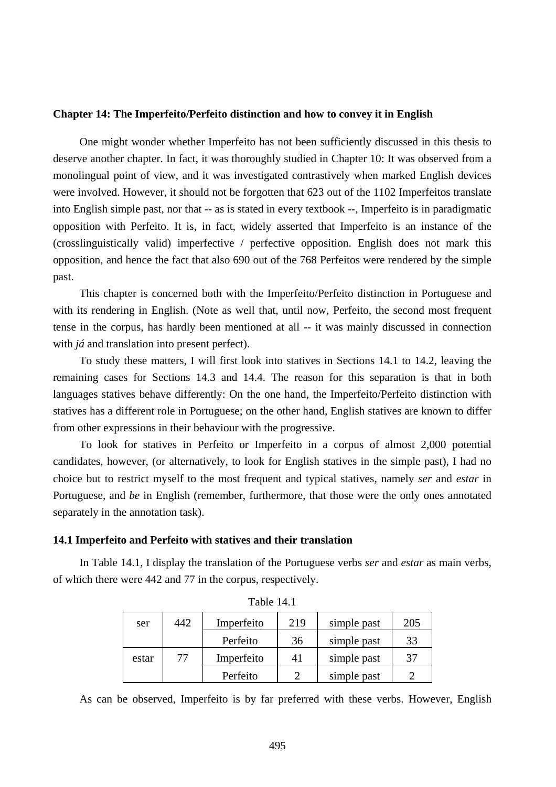## **Chapter 14: The Imperfeito/Perfeito distinction and how to convey it in English**

One might wonder whether Imperfeito has not been sufficiently discussed in this thesis to deserve another chapter. In fact, it was thoroughly studied in Chapter 10: It was observed from a monolingual point of view, and it was investigated contrastively when marked English devices were involved. However, it should not be forgotten that 623 out of the 1102 Imperfeitos translate into English simple past, nor that -- as is stated in every textbook --, Imperfeito is in paradigmatic opposition with Perfeito. It is, in fact, widely asserted that Imperfeito is an instance of the (crosslinguistically valid) imperfective / perfective opposition. English does not mark this opposition, and hence the fact that also 690 out of the 768 Perfeitos were rendered by the simple past.

This chapter is concerned both with the Imperfeito/Perfeito distinction in Portuguese and with its rendering in English. (Note as well that, until now, Perfeito, the second most frequent tense in the corpus, has hardly been mentioned at all -- it was mainly discussed in connection with *já* and translation into present perfect).

To study these matters, I will first look into statives in Sections 14.1 to 14.2, leaving the remaining cases for Sections 14.3 and 14.4. The reason for this separation is that in both languages statives behave differently: On the one hand, the Imperfeito/Perfeito distinction with statives has a different role in Portuguese; on the other hand, English statives are known to differ from other expressions in their behaviour with the progressive.

To look for statives in Perfeito or Imperfeito in a corpus of almost 2,000 potential candidates, however, (or alternatively, to look for English statives in the simple past), I had no choice but to restrict myself to the most frequent and typical statives, namely *ser* and *estar* in Portuguese, and *be* in English (remember, furthermore, that those were the only ones annotated separately in the annotation task).

# **14.1 Imperfeito and Perfeito with statives and their translation**

In Table 14.1, I display the translation of the Portuguese verbs *ser* and *estar* as main verbs, of which there were 442 and 77 in the corpus, respectively.

| ser   | 442 | Imperfeito | 219 | simple past | 205 |
|-------|-----|------------|-----|-------------|-----|
|       |     | Perfeito   | 36  | simple past | 33  |
| estar | 77  | Imperfeito | 41  | simple past | 37  |
|       |     | Perfeito   |     | simple past |     |

Table 14.1

As can be observed, Imperfeito is by far preferred with these verbs. However, English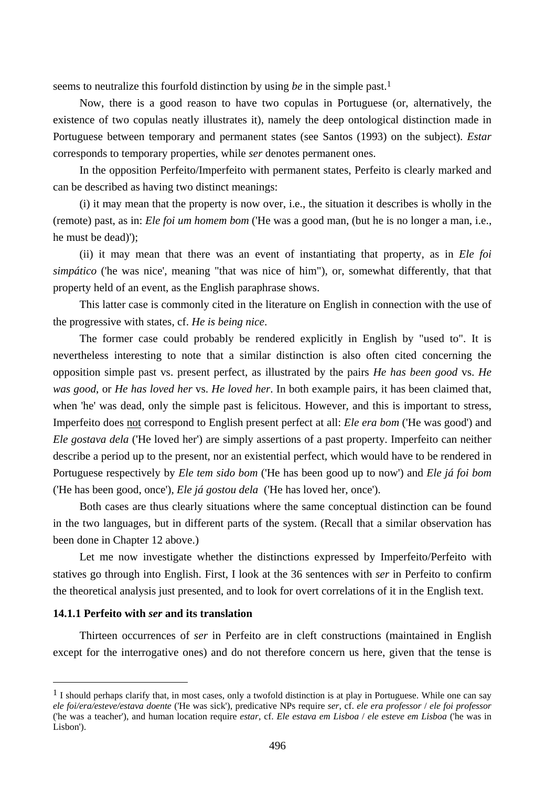seems to neutralize this fourfold distinction by using *be* in the simple past.1

Now, there is a good reason to have two copulas in Portuguese (or, alternatively, the existence of two copulas neatly illustrates it), namely the deep ontological distinction made in Portuguese between temporary and permanent states (see Santos (1993) on the subject). *Estar* corresponds to temporary properties, while *ser* denotes permanent ones.

In the opposition Perfeito/Imperfeito with permanent states, Perfeito is clearly marked and can be described as having two distinct meanings:

(i) it may mean that the property is now over, i.e., the situation it describes is wholly in the (remote) past, as in: *Ele foi um homem bom* ('He was a good man, (but he is no longer a man, i.e., he must be dead)');

(ii) it may mean that there was an event of instantiating that property, as in *Ele foi simpático* ('he was nice', meaning "that was nice of him"), or, somewhat differently, that that property held of an event, as the English paraphrase shows.

This latter case is commonly cited in the literature on English in connection with the use of the progressive with states, cf. *He is being nice*.

The former case could probably be rendered explicitly in English by "used to". It is nevertheless interesting to note that a similar distinction is also often cited concerning the opposition simple past vs. present perfect, as illustrated by the pairs *He has been good* vs. *He was good*, or *He has loved her* vs. *He loved her*. In both example pairs, it has been claimed that, when 'he' was dead, only the simple past is felicitous. However, and this is important to stress, Imperfeito does not correspond to English present perfect at all: *Ele era bom* ('He was good') and *Ele gostava dela* ('He loved her') are simply assertions of a past property. Imperfeito can neither describe a period up to the present, nor an existential perfect, which would have to be rendered in Portuguese respectively by *Ele tem sido bom* ('He has been good up to now') and *Ele já foi bom* ('He has been good, once'), *Ele já gostou dela* ('He has loved her, once').

Both cases are thus clearly situations where the same conceptual distinction can be found in the two languages, but in different parts of the system. (Recall that a similar observation has been done in Chapter 12 above.)

Let me now investigate whether the distinctions expressed by Imperfeito/Perfeito with statives go through into English. First, I look at the 36 sentences with *ser* in Perfeito to confirm the theoretical analysis just presented, and to look for overt correlations of it in the English text.

#### **14.1.1 Perfeito with** *ser* **and its translation**

 $\overline{a}$ 

Thirteen occurrences of *ser* in Perfeito are in cleft constructions (maintained in English except for the interrogative ones) and do not therefore concern us here, given that the tense is

 $<sup>1</sup>$  I should perhaps clarify that, in most cases, only a twofold distinction is at play in Portuguese. While one can say</sup> *ele foi/era/esteve/estava doente* ('He was sick'), predicative NPs require *ser*, cf. *ele era professor* / *ele foi professor* ('he was a teacher'), and human location require *estar*, cf. *Ele estava em Lisboa* / *ele esteve em Lisboa* ('he was in Lisbon').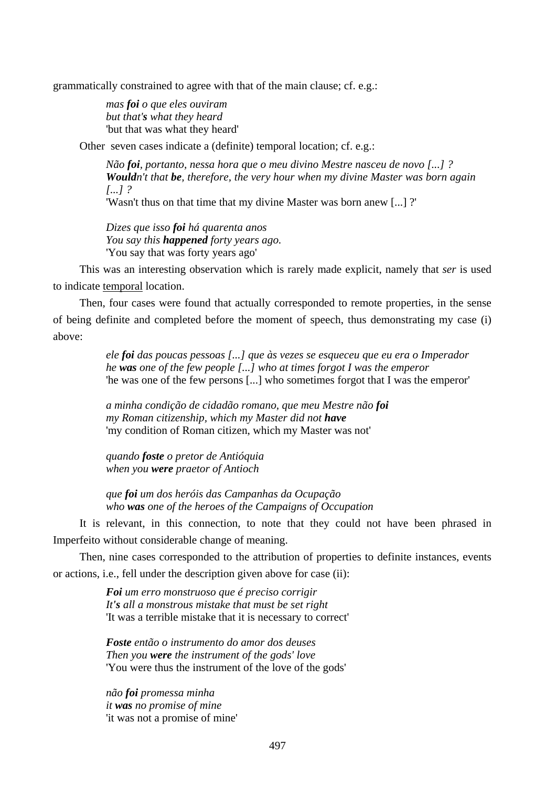grammatically constrained to agree with that of the main clause; cf. e.g.:

*mas foi o que eles ouviram but that's what they heard*  'but that was what they heard'

Other seven cases indicate a (definite) temporal location; cf. e.g.:

*Não foi, portanto, nessa hora que o meu divino Mestre nasceu de novo [...] ? Wouldn't that be, therefore, the very hour when my divine Master was born again [...] ?* 

'Wasn't thus on that time that my divine Master was born anew [...] ?'

*Dizes que isso foi há quarenta anos You say this happened forty years ago.*  'You say that was forty years ago'

This was an interesting observation which is rarely made explicit, namely that *ser* is used to indicate temporal location.

Then, four cases were found that actually corresponded to remote properties, in the sense of being definite and completed before the moment of speech, thus demonstrating my case (i) above:

> *ele foi das poucas pessoas [...] que às vezes se esqueceu que eu era o Imperador he was one of the few people [...] who at times forgot I was the emperor*  'he was one of the few persons [...] who sometimes forgot that I was the emperor'

*a minha condição de cidadão romano, que meu Mestre não foi my Roman citizenship, which my Master did not have*  'my condition of Roman citizen, which my Master was not'

*quando foste o pretor de Antióquia when you were praetor of Antioch* 

*que foi um dos heróis das Campanhas da Ocupação who was one of the heroes of the Campaigns of Occupation* 

It is relevant, in this connection, to note that they could not have been phrased in Imperfeito without considerable change of meaning.

Then, nine cases corresponded to the attribution of properties to definite instances, events or actions, i.e., fell under the description given above for case (ii):

> *Foi um erro monstruoso que é preciso corrigir It's all a monstrous mistake that must be set right*  'It was a terrible mistake that it is necessary to correct'

*Foste então o instrumento do amor dos deuses Then you were the instrument of the gods' love*  'You were thus the instrument of the love of the gods'

*não foi promessa minha it was no promise of mine*  'it was not a promise of mine'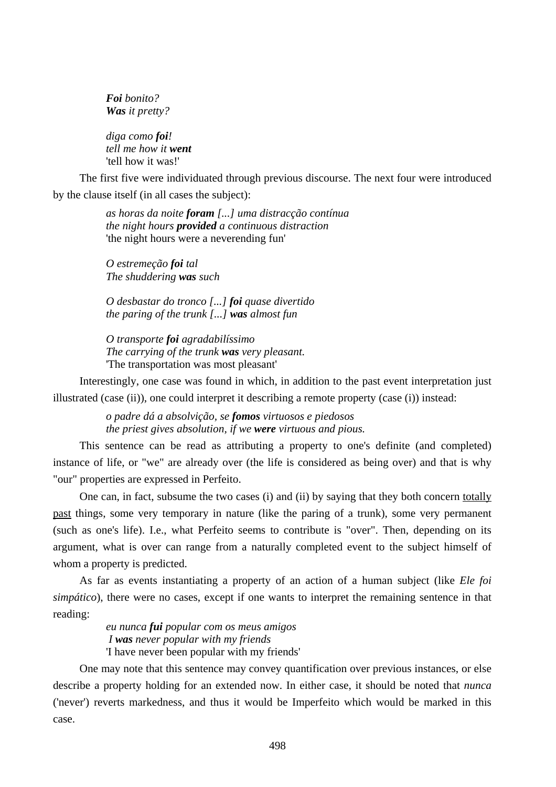*Foi bonito? Was it pretty?* 

*diga como foi! tell me how it went*  'tell how it was!'

The first five were individuated through previous discourse. The next four were introduced by the clause itself (in all cases the subject):

> *as horas da noite foram [...] uma distracção contínua the night hours provided a continuous distraction*  'the night hours were a neverending fun'

*O estremeção foi tal The shuddering was such* 

*O desbastar do tronco [...] foi quase divertido the paring of the trunk [...] was almost fun* 

*O transporte foi agradabilíssimo The carrying of the trunk was very pleasant.*  'The transportation was most pleasant'

Interestingly, one case was found in which, in addition to the past event interpretation just illustrated (case (ii)), one could interpret it describing a remote property (case (i)) instead:

> *o padre dá a absolvição, se fomos virtuosos e piedosos the priest gives absolution, if we were virtuous and pious.*

This sentence can be read as attributing a property to one's definite (and completed) instance of life, or "we" are already over (the life is considered as being over) and that is why "our" properties are expressed in Perfeito.

One can, in fact, subsume the two cases (i) and (ii) by saying that they both concern totally past things, some very temporary in nature (like the paring of a trunk), some very permanent (such as one's life). I.e., what Perfeito seems to contribute is "over". Then, depending on its argument, what is over can range from a naturally completed event to the subject himself of whom a property is predicted.

As far as events instantiating a property of an action of a human subject (like *Ele foi simpático*), there were no cases, except if one wants to interpret the remaining sentence in that reading:

> *eu nunca fui popular com os meus amigos I was never popular with my friends*  'I have never been popular with my friends'

One may note that this sentence may convey quantification over previous instances, or else describe a property holding for an extended now. In either case, it should be noted that *nunca* ('never') reverts markedness, and thus it would be Imperfeito which would be marked in this case.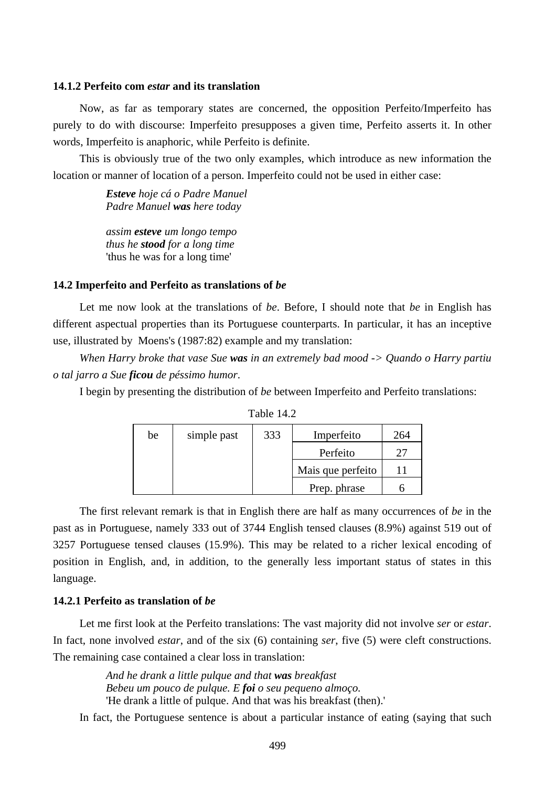## **14.1.2 Perfeito com** *estar* **and its translation**

Now, as far as temporary states are concerned, the opposition Perfeito/Imperfeito has purely to do with discourse: Imperfeito presupposes a given time, Perfeito asserts it. In other words, Imperfeito is anaphoric, while Perfeito is definite.

This is obviously true of the two only examples, which introduce as new information the location or manner of location of a person. Imperfeito could not be used in either case:

> *Esteve hoje cá o Padre Manuel Padre Manuel was here today*

*assim esteve um longo tempo thus he stood for a long time*  'thus he was for a long time'

## **14.2 Imperfeito and Perfeito as translations of** *be*

Let me now look at the translations of *be*. Before, I should note that *be* in English has different aspectual properties than its Portuguese counterparts. In particular, it has an inceptive use, illustrated by Moens's (1987:82) example and my translation:

*When Harry broke that vase Sue was in an extremely bad mood -> Quando o Harry partiu o tal jarro a Sue ficou de péssimo humor*.

I begin by presenting the distribution of *be* between Imperfeito and Perfeito translations:

| be | simple past | 333 | Imperfeito        | $\frac{1}{64}$ |
|----|-------------|-----|-------------------|----------------|
|    |             |     | Perfeito          |                |
|    |             |     | Mais que perfeito |                |
|    |             |     | Prep. phrase      |                |

Table 14.2

The first relevant remark is that in English there are half as many occurrences of *be* in the past as in Portuguese, namely 333 out of 3744 English tensed clauses (8.9%) against 519 out of 3257 Portuguese tensed clauses (15.9%). This may be related to a richer lexical encoding of position in English, and, in addition, to the generally less important status of states in this language.

## **14.2.1 Perfeito as translation of** *be*

Let me first look at the Perfeito translations: The vast majority did not involve *ser* or *estar*. In fact, none involved *estar*, and of the six (6) containing *ser*, five (5) were cleft constructions. The remaining case contained a clear loss in translation:

> *And he drank a little pulque and that was breakfast Bebeu um pouco de pulque. E foi o seu pequeno almoço.*  'He drank a little of pulque. And that was his breakfast (then).'

In fact, the Portuguese sentence is about a particular instance of eating (saying that such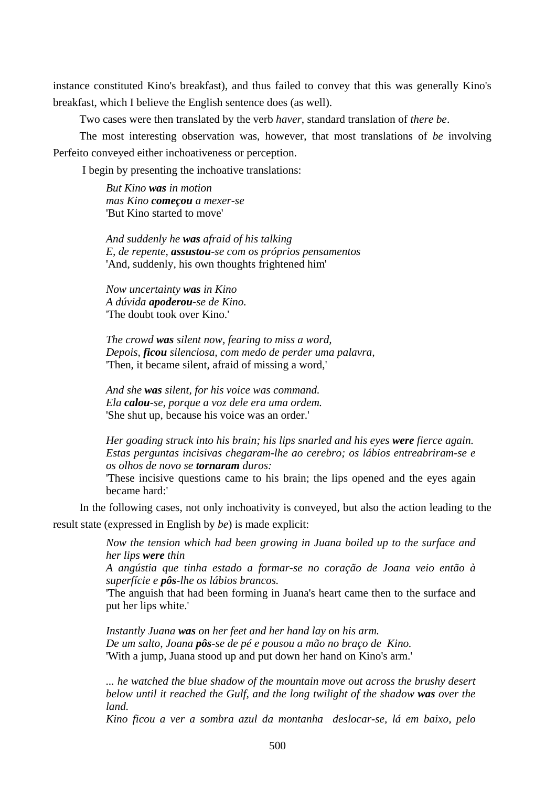instance constituted Kino's breakfast), and thus failed to convey that this was generally Kino's breakfast, which I believe the English sentence does (as well).

Two cases were then translated by the verb *haver*, standard translation of *there be*.

The most interesting observation was, however, that most translations of *be* involving Perfeito conveyed either inchoativeness or perception.

I begin by presenting the inchoative translations:

*But Kino was in motion mas Kino começou a mexer-se*  'But Kino started to move'

*And suddenly he was afraid of his talking E, de repente, assustou-se com os próprios pensamentos*  'And, suddenly, his own thoughts frightened him'

*Now uncertainty was in Kino A dúvida apoderou-se de Kino.*  'The doubt took over Kino.'

*The crowd was silent now, fearing to miss a word, Depois, ficou silenciosa, com medo de perder uma palavra,*  'Then, it became silent, afraid of missing a word,'

*And she was silent, for his voice was command. Ela calou-se, porque a voz dele era uma ordem.*  'She shut up, because his voice was an order.'

*Her goading struck into his brain; his lips snarled and his eyes were fierce again. Estas perguntas incisivas chegaram-lhe ao cerebro; os lábios entreabriram-se e os olhos de novo se tornaram duros:* 

'These incisive questions came to his brain; the lips opened and the eyes again became hard:'

In the following cases, not only inchoativity is conveyed, but also the action leading to the result state (expressed in English by *be*) is made explicit:

> *Now the tension which had been growing in Juana boiled up to the surface and her lips were thin*

> *A angústia que tinha estado a formar-se no coração de Joana veio então à superfície e pôs-lhe os lábios brancos.*

> 'The anguish that had been forming in Juana's heart came then to the surface and put her lips white.'

*Instantly Juana was on her feet and her hand lay on his arm. De um salto, Joana pôs-se de pé e pousou a mão no braço de Kino.*  'With a jump, Juana stood up and put down her hand on Kino's arm.'

*... he watched the blue shadow of the mountain move out across the brushy desert below until it reached the Gulf, and the long twilight of the shadow was over the land.* 

*Kino ficou a ver a sombra azul da montanha deslocar-se, lá em baixo, pelo*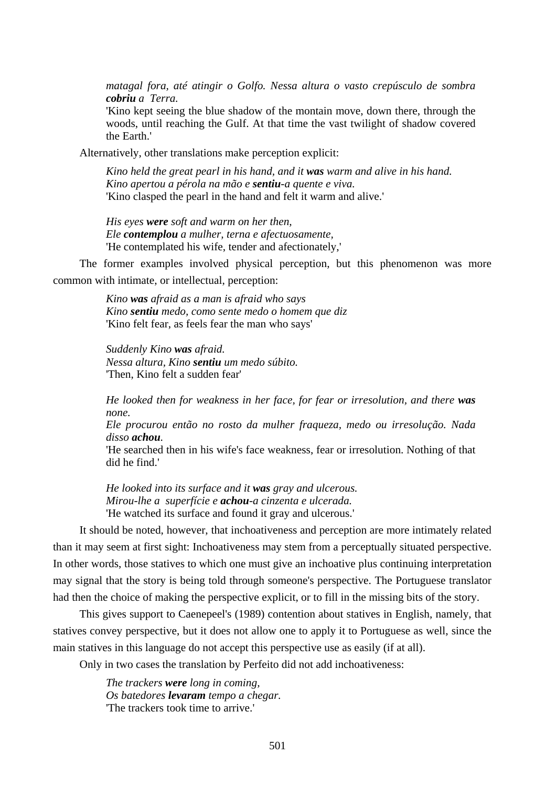*matagal fora, até atingir o Golfo. Nessa altura o vasto crepúsculo de sombra cobriu a Terra.* 

'Kino kept seeing the blue shadow of the montain move, down there, through the woods, until reaching the Gulf. At that time the vast twilight of shadow covered the Earth.'

Alternatively, other translations make perception explicit:

*Kino held the great pearl in his hand, and it was warm and alive in his hand. Kino apertou a pérola na mão e sentiu-a quente e viva.*  'Kino clasped the pearl in the hand and felt it warm and alive.'

*His eyes were soft and warm on her then, Ele contemplou a mulher, terna e afectuosamente,*  'He contemplated his wife, tender and afectionately,'

The former examples involved physical perception, but this phenomenon was more common with intimate, or intellectual, perception:

> *Kino was afraid as a man is afraid who says Kino sentiu medo, como sente medo o homem que diz*  'Kino felt fear, as feels fear the man who says'

*Suddenly Kino was afraid. Nessa altura, Kino sentiu um medo súbito.*  'Then, Kino felt a sudden fear'

*He looked then for weakness in her face, for fear or irresolution, and there was none.* 

*Ele procurou então no rosto da mulher fraqueza, medo ou irresolução. Nada disso achou.* 

'He searched then in his wife's face weakness, fear or irresolution. Nothing of that did he find.'

*He looked into its surface and it was gray and ulcerous. Mirou-lhe a superfície e achou-a cinzenta e ulcerada.*  'He watched its surface and found it gray and ulcerous.'

It should be noted, however, that inchoativeness and perception are more intimately related than it may seem at first sight: Inchoativeness may stem from a perceptually situated perspective. In other words, those statives to which one must give an inchoative plus continuing interpretation may signal that the story is being told through someone's perspective. The Portuguese translator had then the choice of making the perspective explicit, or to fill in the missing bits of the story.

This gives support to Caenepeel's (1989) contention about statives in English, namely, that statives convey perspective, but it does not allow one to apply it to Portuguese as well, since the main statives in this language do not accept this perspective use as easily (if at all).

Only in two cases the translation by Perfeito did not add inchoativeness:

*The trackers were long in coming, Os batedores levaram tempo a chegar.*  'The trackers took time to arrive.'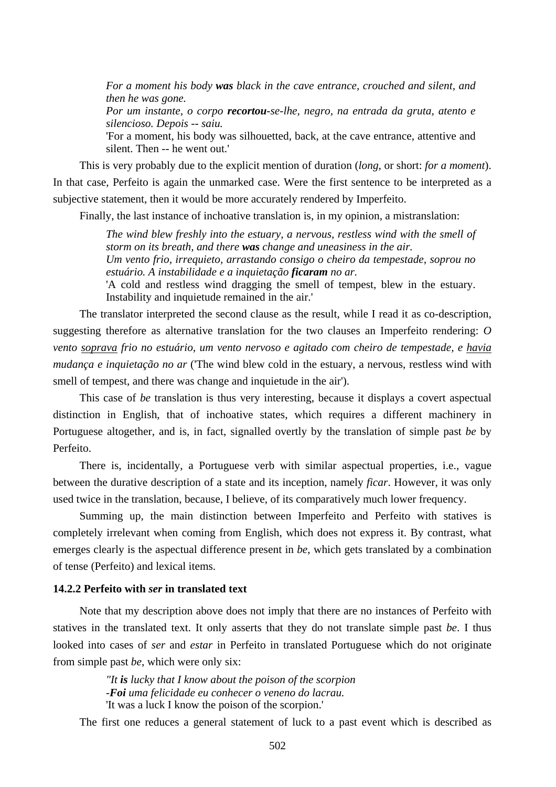*For a moment his body was black in the cave entrance, crouched and silent, and then he was gone.* 

*Por um instante, o corpo recortou-se-lhe, negro, na entrada da gruta, atento e silencioso. Depois -- saiu.* 

'For a moment, his body was silhouetted, back, at the cave entrance, attentive and silent. Then -- he went out.'

This is very probably due to the explicit mention of duration (*long*, or short: *for a moment*). In that case, Perfeito is again the unmarked case. Were the first sentence to be interpreted as a subjective statement, then it would be more accurately rendered by Imperfeito.

Finally, the last instance of inchoative translation is, in my opinion, a mistranslation:

*The wind blew freshly into the estuary, a nervous, restless wind with the smell of storm on its breath, and there was change and uneasiness in the air. Um vento frio, irrequieto, arrastando consigo o cheiro da tempestade, soprou no estuário. A instabilidade e a inquietação ficaram no ar.* 

'A cold and restless wind dragging the smell of tempest, blew in the estuary. Instability and inquietude remained in the air.'

The translator interpreted the second clause as the result, while I read it as co-description, suggesting therefore as alternative translation for the two clauses an Imperfeito rendering: *O vento soprava frio no estuário, um vento nervoso e agitado com cheiro de tempestade, e havia mudança e inquietação no ar* ('The wind blew cold in the estuary, a nervous, restless wind with smell of tempest, and there was change and inquietude in the air').

This case of *be* translation is thus very interesting, because it displays a covert aspectual distinction in English, that of inchoative states, which requires a different machinery in Portuguese altogether, and is, in fact, signalled overtly by the translation of simple past *be* by Perfeito.

There is, incidentally, a Portuguese verb with similar aspectual properties, i.e., vague between the durative description of a state and its inception, namely *ficar*. However, it was only used twice in the translation, because, I believe, of its comparatively much lower frequency.

Summing up, the main distinction between Imperfeito and Perfeito with statives is completely irrelevant when coming from English, which does not express it. By contrast, what emerges clearly is the aspectual difference present in *be*, which gets translated by a combination of tense (Perfeito) and lexical items.

# **14.2.2 Perfeito with** *ser* **in translated text**

Note that my description above does not imply that there are no instances of Perfeito with statives in the translated text. It only asserts that they do not translate simple past *be*. I thus looked into cases of *ser* and *estar* in Perfeito in translated Portuguese which do not originate from simple past *be*, which were only six:

> *"It is lucky that I know about the poison of the scorpion -Foi uma felicidade eu conhecer o veneno do lacrau.*  'It was a luck I know the poison of the scorpion.'

The first one reduces a general statement of luck to a past event which is described as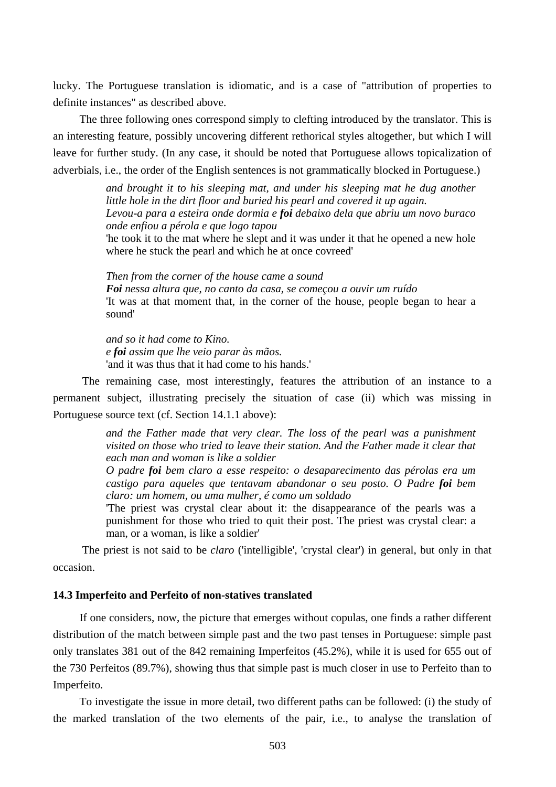lucky. The Portuguese translation is idiomatic, and is a case of "attribution of properties to definite instances" as described above.

The three following ones correspond simply to clefting introduced by the translator. This is an interesting feature, possibly uncovering different rethorical styles altogether, but which I will leave for further study. (In any case, it should be noted that Portuguese allows topicalization of adverbials, i.e., the order of the English sentences is not grammatically blocked in Portuguese.)

> *and brought it to his sleeping mat, and under his sleeping mat he dug another little hole in the dirt floor and buried his pearl and covered it up again. Levou-a para a esteira onde dormia e foi debaixo dela que abriu um novo buraco onde enfiou a pérola e que logo tapou*

> 'he took it to the mat where he slept and it was under it that he opened a new hole where he stuck the pearl and which he at once covreed'

> *Then from the corner of the house came a sound Foi nessa altura que, no canto da casa, se começou a ouvir um ruído*  'It was at that moment that, in the corner of the house, people began to hear a sound'

*and so it had come to Kino. e foi assim que lhe veio parar às mãos.*  'and it was thus that it had come to his hands.'

 The remaining case, most interestingly, features the attribution of an instance to a permanent subject, illustrating precisely the situation of case (ii) which was missing in Portuguese source text (cf. Section 14.1.1 above):

> *and the Father made that very clear. The loss of the pearl was a punishment visited on those who tried to leave their station. And the Father made it clear that each man and woman is like a soldier*

> *O padre foi bem claro a esse respeito: o desaparecimento das pérolas era um castigo para aqueles que tentavam abandonar o seu posto. O Padre foi bem claro: um homem, ou uma mulher, é como um soldado*

> 'The priest was crystal clear about it: the disappearance of the pearls was a punishment for those who tried to quit their post. The priest was crystal clear: a man, or a woman, is like a soldier'

 The priest is not said to be *claro* ('intelligible', 'crystal clear') in general, but only in that occasion.

## **14.3 Imperfeito and Perfeito of non-statives translated**

If one considers, now, the picture that emerges without copulas, one finds a rather different distribution of the match between simple past and the two past tenses in Portuguese: simple past only translates 381 out of the 842 remaining Imperfeitos (45.2%), while it is used for 655 out of the 730 Perfeitos (89.7%), showing thus that simple past is much closer in use to Perfeito than to Imperfeito.

To investigate the issue in more detail, two different paths can be followed: (i) the study of the marked translation of the two elements of the pair, i.e., to analyse the translation of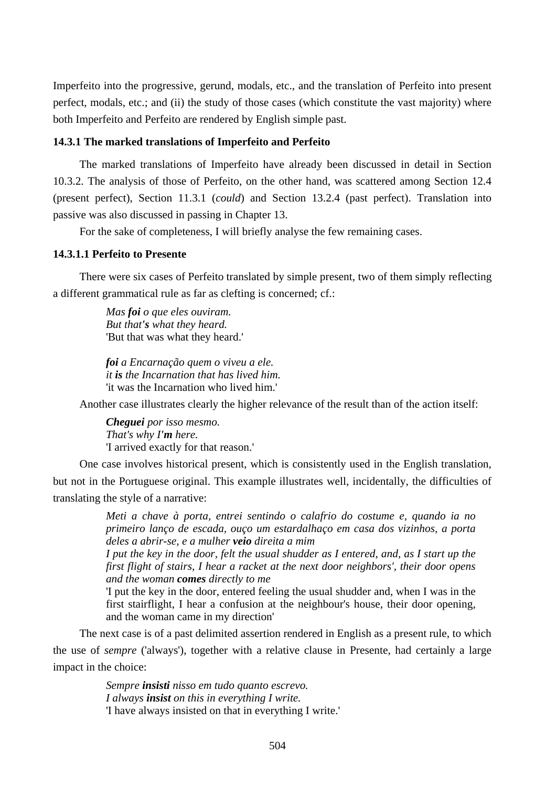Imperfeito into the progressive, gerund, modals, etc., and the translation of Perfeito into present perfect, modals, etc.; and (ii) the study of those cases (which constitute the vast majority) where both Imperfeito and Perfeito are rendered by English simple past.

## **14.3.1 The marked translations of Imperfeito and Perfeito**

The marked translations of Imperfeito have already been discussed in detail in Section 10.3.2. The analysis of those of Perfeito, on the other hand, was scattered among Section 12.4 (present perfect), Section 11.3.1 (*could*) and Section 13.2.4 (past perfect). Translation into passive was also discussed in passing in Chapter 13.

For the sake of completeness, I will briefly analyse the few remaining cases.

## **14.3.1.1 Perfeito to Presente**

There were six cases of Perfeito translated by simple present, two of them simply reflecting a different grammatical rule as far as clefting is concerned; cf.:

> *Mas foi o que eles ouviram. But that's what they heard.*  'But that was what they heard.'

*foi a Encarnação quem o viveu a ele. it is the Incarnation that has lived him.*  'it was the Incarnation who lived him.'

Another case illustrates clearly the higher relevance of the result than of the action itself:

*Cheguei por isso mesmo. That's why I'm here.*  'I arrived exactly for that reason.'

One case involves historical present, which is consistently used in the English translation, but not in the Portuguese original. This example illustrates well, incidentally, the difficulties of translating the style of a narrative:

> *Meti a chave à porta, entrei sentindo o calafrio do costume e, quando ia no primeiro lanço de escada, ouço um estardalhaço em casa dos vizinhos, a porta deles a abrir-se, e a mulher veio direita a mim*

> *I put the key in the door, felt the usual shudder as I entered, and, as I start up the first flight of stairs, I hear a racket at the next door neighbors', their door opens and the woman comes directly to me*

> 'I put the key in the door, entered feeling the usual shudder and, when I was in the first stairflight, I hear a confusion at the neighbour's house, their door opening, and the woman came in my direction'

The next case is of a past delimited assertion rendered in English as a present rule, to which the use of *sempre* ('always'), together with a relative clause in Presente, had certainly a large impact in the choice:

> *Sempre insisti nisso em tudo quanto escrevo. I always insist on this in everything I write.*  'I have always insisted on that in everything I write.'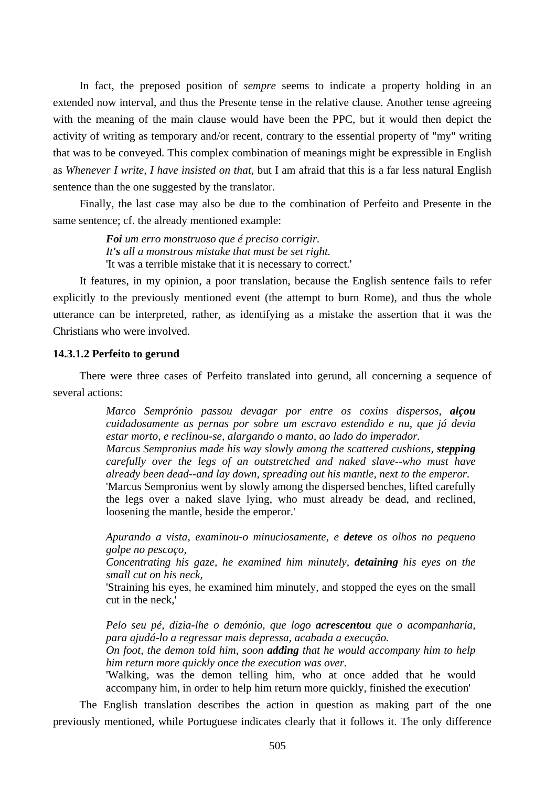In fact, the preposed position of *sempre* seems to indicate a property holding in an extended now interval, and thus the Presente tense in the relative clause. Another tense agreeing with the meaning of the main clause would have been the PPC, but it would then depict the activity of writing as temporary and/or recent, contrary to the essential property of "my" writing that was to be conveyed. This complex combination of meanings might be expressible in English as *Whenever I write, I have insisted on that*, but I am afraid that this is a far less natural English sentence than the one suggested by the translator.

Finally, the last case may also be due to the combination of Perfeito and Presente in the same sentence; cf. the already mentioned example:

> *Foi um erro monstruoso que é preciso corrigir. It's all a monstrous mistake that must be set right.*  'It was a terrible mistake that it is necessary to correct.'

It features, in my opinion, a poor translation, because the English sentence fails to refer explicitly to the previously mentioned event (the attempt to burn Rome), and thus the whole utterance can be interpreted, rather, as identifying as a mistake the assertion that it was the Christians who were involved.

## **14.3.1.2 Perfeito to gerund**

There were three cases of Perfeito translated into gerund, all concerning a sequence of several actions:

> *Marco Semprónio passou devagar por entre os coxins dispersos, alçou cuidadosamente as pernas por sobre um escravo estendido e nu, que já devia estar morto, e reclinou-se, alargando o manto, ao lado do imperador. Marcus Sempronius made his way slowly among the scattered cushions, stepping carefully over the legs of an outstretched and naked slave--who must have already been dead--and lay down, spreading out his mantle, next to the emperor.*  'Marcus Sempronius went by slowly among the dispersed benches, lifted carefully the legs over a naked slave lying, who must already be dead, and reclined, loosening the mantle, beside the emperor.'

> *Apurando a vista, examinou-o minuciosamente, e deteve os olhos no pequeno golpe no pescoço,*

> *Concentrating his gaze, he examined him minutely, detaining his eyes on the small cut on his neck,*

> 'Straining his eyes, he examined him minutely, and stopped the eyes on the small cut in the neck,'

> *Pelo seu pé, dizia-lhe o demónio, que logo acrescentou que o acompanharia, para ajudá-lo a regressar mais depressa, acabada a execução.*

> *On foot, the demon told him, soon adding that he would accompany him to help him return more quickly once the execution was over.*

> 'Walking, was the demon telling him, who at once added that he would accompany him, in order to help him return more quickly, finished the execution'

The English translation describes the action in question as making part of the one previously mentioned, while Portuguese indicates clearly that it follows it. The only difference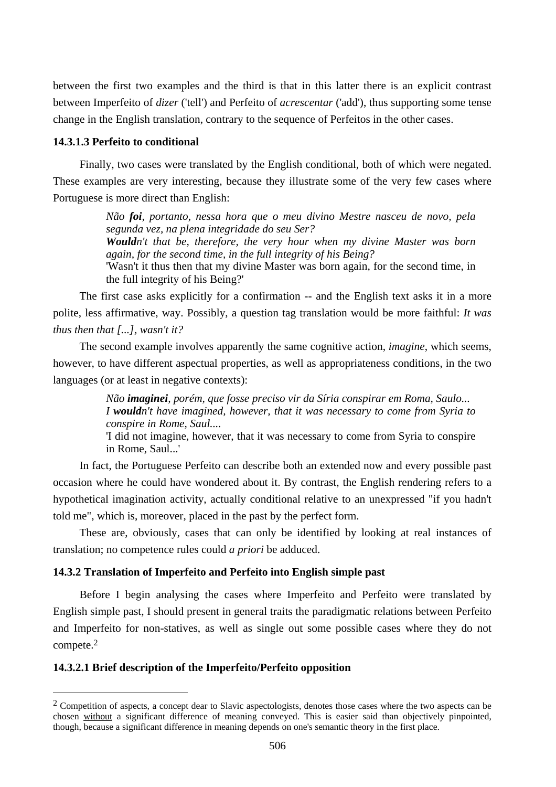between the first two examples and the third is that in this latter there is an explicit contrast between Imperfeito of *dizer* ('tell') and Perfeito of *acrescentar* ('add'), thus supporting some tense change in the English translation, contrary to the sequence of Perfeitos in the other cases.

#### **14.3.1.3 Perfeito to conditional**

Finally, two cases were translated by the English conditional, both of which were negated. These examples are very interesting, because they illustrate some of the very few cases where Portuguese is more direct than English:

> *Não foi, portanto, nessa hora que o meu divino Mestre nasceu de novo, pela segunda vez, na plena integridade do seu Ser? Wouldn't that be, therefore, the very hour when my divine Master was born again, for the second time, in the full integrity of his Being?*  'Wasn't it thus then that my divine Master was born again, for the second time, in the full integrity of his Being?'

The first case asks explicitly for a confirmation -- and the English text asks it in a more polite, less affirmative, way. Possibly, a question tag translation would be more faithful: *It was thus then that [...], wasn't it?* 

The second example involves apparently the same cognitive action, *imagine*, which seems, however, to have different aspectual properties, as well as appropriateness conditions, in the two languages (or at least in negative contexts):

> *Não imaginei, porém, que fosse preciso vir da Síria conspirar em Roma, Saulo... I wouldn't have imagined, however, that it was necessary to come from Syria to conspire in Rome, Saul....*

> 'I did not imagine, however, that it was necessary to come from Syria to conspire in Rome, Saul...'

In fact, the Portuguese Perfeito can describe both an extended now and every possible past occasion where he could have wondered about it. By contrast, the English rendering refers to a hypothetical imagination activity, actually conditional relative to an unexpressed "if you hadn't told me", which is, moreover, placed in the past by the perfect form.

These are, obviously, cases that can only be identified by looking at real instances of translation; no competence rules could *a priori* be adduced.

## **14.3.2 Translation of Imperfeito and Perfeito into English simple past**

Before I begin analysing the cases where Imperfeito and Perfeito were translated by English simple past, I should present in general traits the paradigmatic relations between Perfeito and Imperfeito for non-statives, as well as single out some possible cases where they do not compete.2

## **14.3.2.1 Brief description of the Imperfeito/Perfeito opposition**

 $\overline{a}$ 

<sup>&</sup>lt;sup>2</sup> Competition of aspects, a concept dear to Slavic aspectologists, denotes those cases where the two aspects can be chosen without a significant difference of meaning conveyed. This is easier said than objectively pinpointed, though, because a significant difference in meaning depends on one's semantic theory in the first place.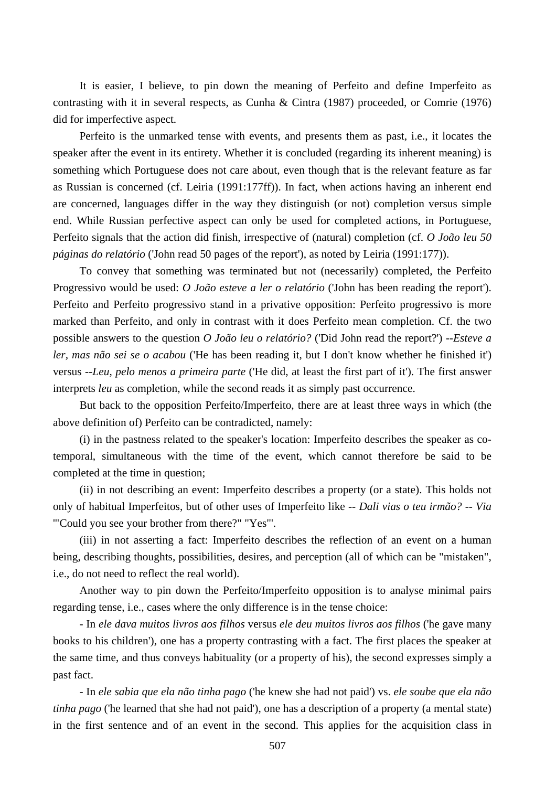It is easier, I believe, to pin down the meaning of Perfeito and define Imperfeito as contrasting with it in several respects, as Cunha & Cintra (1987) proceeded, or Comrie (1976) did for imperfective aspect.

Perfeito is the unmarked tense with events, and presents them as past, i.e., it locates the speaker after the event in its entirety. Whether it is concluded (regarding its inherent meaning) is something which Portuguese does not care about, even though that is the relevant feature as far as Russian is concerned (cf. Leiria (1991:177ff)). In fact, when actions having an inherent end are concerned, languages differ in the way they distinguish (or not) completion versus simple end. While Russian perfective aspect can only be used for completed actions, in Portuguese, Perfeito signals that the action did finish, irrespective of (natural) completion (cf. *O João leu 50 páginas do relatório* ('John read 50 pages of the report'), as noted by Leiria (1991:177)).

To convey that something was terminated but not (necessarily) completed, the Perfeito Progressivo would be used: *O João esteve a ler o relatório* ('John has been reading the report'). Perfeito and Perfeito progressivo stand in a privative opposition: Perfeito progressivo is more marked than Perfeito, and only in contrast with it does Perfeito mean completion. Cf. the two possible answers to the question *O João leu o relatório?* ('Did John read the report?') --*Esteve a ler, mas não sei se o acabou* ('He has been reading it, but I don't know whether he finished it') versus --*Leu, pelo menos a primeira parte* ('He did, at least the first part of it'). The first answer interprets *leu* as completion, while the second reads it as simply past occurrence.

But back to the opposition Perfeito/Imperfeito, there are at least three ways in which (the above definition of) Perfeito can be contradicted, namely:

(i) in the pastness related to the speaker's location: Imperfeito describes the speaker as cotemporal, simultaneous with the time of the event, which cannot therefore be said to be completed at the time in question;

(ii) in not describing an event: Imperfeito describes a property (or a state). This holds not only of habitual Imperfeitos, but of other uses of Imperfeito like *-- Dali vias o teu irmão? -- Via*  '"Could you see your brother from there?" "Yes"'.

(iii) in not asserting a fact: Imperfeito describes the reflection of an event on a human being, describing thoughts, possibilities, desires, and perception (all of which can be "mistaken", i.e., do not need to reflect the real world).

Another way to pin down the Perfeito/Imperfeito opposition is to analyse minimal pairs regarding tense, i.e., cases where the only difference is in the tense choice:

- In *ele dava muitos livros aos filhos* versus *ele deu muitos livros aos filhos* ('he gave many books to his children'), one has a property contrasting with a fact. The first places the speaker at the same time, and thus conveys habituality (or a property of his), the second expresses simply a past fact.

- In *ele sabia que ela não tinha pago* ('he knew she had not paid') vs. *ele soube que ela não tinha pago* ('he learned that she had not paid'), one has a description of a property (a mental state) in the first sentence and of an event in the second. This applies for the acquisition class in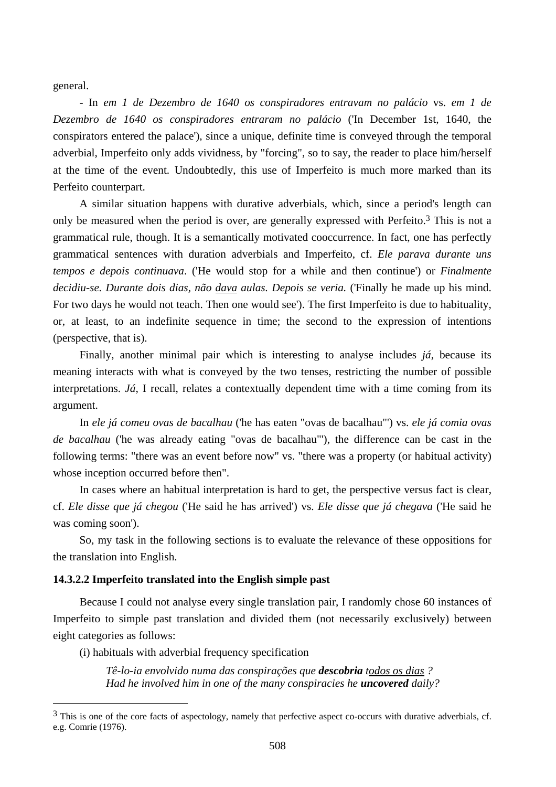general.

 $\overline{a}$ 

- In *em 1 de Dezembro de 1640 os conspiradores entravam no palácio* vs. *em 1 de Dezembro de 1640 os conspiradores entraram no palácio* ('In December 1st, 1640, the conspirators entered the palace'), since a unique, definite time is conveyed through the temporal adverbial, Imperfeito only adds vividness, by "forcing", so to say, the reader to place him/herself at the time of the event. Undoubtedly, this use of Imperfeito is much more marked than its Perfeito counterpart.

A similar situation happens with durative adverbials, which, since a period's length can only be measured when the period is over, are generally expressed with Perfeito.3 This is not a grammatical rule, though. It is a semantically motivated cooccurrence. In fact, one has perfectly grammatical sentences with duration adverbials and Imperfeito, cf. *Ele parava durante uns tempos e depois continuava*. ('He would stop for a while and then continue') or *Finalmente decidiu-se. Durante dois dias, não dava aulas. Depois se veria.* ('Finally he made up his mind. For two days he would not teach. Then one would see'). The first Imperfeito is due to habituality, or, at least, to an indefinite sequence in time; the second to the expression of intentions (perspective, that is).

Finally, another minimal pair which is interesting to analyse includes *já*, because its meaning interacts with what is conveyed by the two tenses, restricting the number of possible interpretations. *Já*, I recall, relates a contextually dependent time with a time coming from its argument.

In *ele já comeu ovas de bacalhau* ('he has eaten "ovas de bacalhau"') vs. *ele já comia ovas de bacalhau* ('he was already eating "ovas de bacalhau"'), the difference can be cast in the following terms: "there was an event before now" vs. "there was a property (or habitual activity) whose inception occurred before then".

In cases where an habitual interpretation is hard to get, the perspective versus fact is clear, cf. *Ele disse que já chegou* ('He said he has arrived') vs. *Ele disse que já chegava* ('He said he was coming soon').

So, my task in the following sections is to evaluate the relevance of these oppositions for the translation into English.

## **14.3.2.2 Imperfeito translated into the English simple past**

Because I could not analyse every single translation pair, I randomly chose 60 instances of Imperfeito to simple past translation and divided them (not necessarily exclusively) between eight categories as follows:

(i) habituals with adverbial frequency specification

*Tê-lo-ia envolvido numa das conspirações que descobria todos os dias ? Had he involved him in one of the many conspiracies he uncovered daily?* 

<sup>&</sup>lt;sup>3</sup> This is one of the core facts of aspectology, namely that perfective aspect co-occurs with durative adverbials, cf. e.g. Comrie (1976).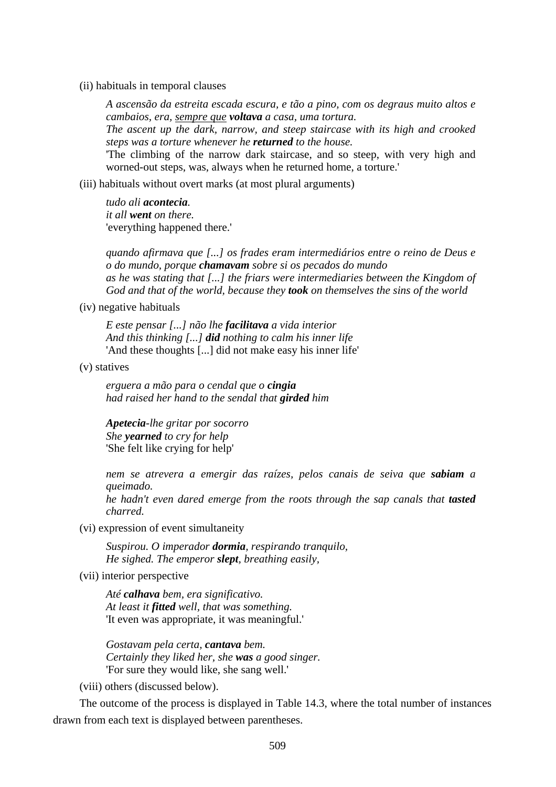(ii) habituals in temporal clauses

*A ascensão da estreita escada escura, e tão a pino, com os degraus muito altos e cambaios, era, sempre que voltava a casa, uma tortura. The ascent up the dark, narrow, and steep staircase with its high and crooked steps was a torture whenever he returned to the house.* 

'The climbing of the narrow dark staircase, and so steep, with very high and worned-out steps, was, always when he returned home, a torture.'

(iii) habituals without overt marks (at most plural arguments)

*tudo ali acontecia. it all went on there.*  'everything happened there.'

*quando afirmava que [...] os frades eram intermediários entre o reino de Deus e o do mundo, porque chamavam sobre si os pecados do mundo as he was stating that [...] the friars were intermediaries between the Kingdom of God and that of the world, because they took on themselves the sins of the world* 

(iv) negative habituals

*E este pensar [...] não lhe facilitava a vida interior And this thinking [...] did nothing to calm his inner life*  'And these thoughts [...] did not make easy his inner life'

(v) statives

*erguera a mão para o cendal que o cingia had raised her hand to the sendal that girded him* 

*Apetecia-lhe gritar por socorro She yearned to cry for help*  'She felt like crying for help'

*nem se atrevera a emergir das raízes, pelos canais de seiva que sabiam a queimado.* 

*he hadn't even dared emerge from the roots through the sap canals that tasted charred.* 

(vi) expression of event simultaneity

*Suspirou. O imperador dormia, respirando tranquilo, He sighed. The emperor slept, breathing easily,* 

(vii) interior perspective

*Até calhava bem, era significativo. At least it fitted well, that was something.*  'It even was appropriate, it was meaningful.'

*Gostavam pela certa, cantava bem. Certainly they liked her, she was a good singer.*  'For sure they would like, she sang well.'

(viii) others (discussed below).

The outcome of the process is displayed in Table 14.3, where the total number of instances drawn from each text is displayed between parentheses.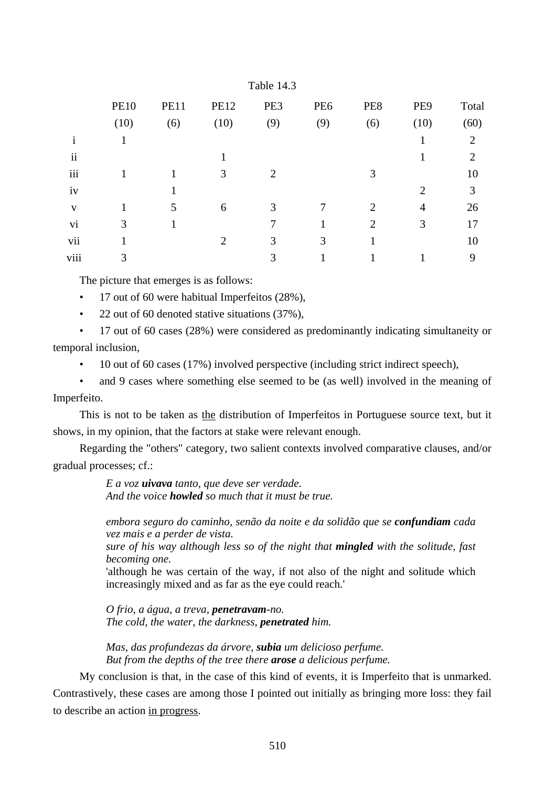| <b>PE10</b>  | <b>PE11</b> | <b>PE12</b> | PE3            | PE <sub>6</sub> | PE8            | PE9                         | Total          |
|--------------|-------------|-------------|----------------|-----------------|----------------|-----------------------------|----------------|
| (10)         | (6)         | (10)        | (9)            | (9)             | (6)            | (10)                        | (60)           |
| $\mathbf{1}$ |             |             |                |                 |                |                             | $\overline{2}$ |
|              |             |             |                |                 |                |                             | $\overline{2}$ |
|              |             | 3           | $\overline{2}$ |                 | 3              |                             | 10             |
|              |             |             |                |                 |                | $\mathcal{D}_{\mathcal{L}}$ | 3              |
|              | 5           | 6           | 3              |                 | 2              | 4                           | 26             |
| 3            |             |             | 7              |                 | $\overline{2}$ | 3                           | 17             |
|              |             | 2           | 3              | 3               |                |                             | 10             |
| 3            |             |             | 3              |                 |                |                             | 9              |
|              |             |             |                | Table 14.3      |                |                             |                |

The picture that emerges is as follows:

• 17 out of 60 were habitual Imperfeitos (28%),

• 22 out of 60 denoted stative situations (37%).

• 17 out of 60 cases (28%) were considered as predominantly indicating simultaneity or temporal inclusion,

• 10 out of 60 cases (17%) involved perspective (including strict indirect speech),

and 9 cases where something else seemed to be (as well) involved in the meaning of Imperfeito.

This is not to be taken as the distribution of Imperfeitos in Portuguese source text, but it shows, in my opinion, that the factors at stake were relevant enough.

Regarding the "others" category, two salient contexts involved comparative clauses, and/or gradual processes; cf.:

> *E a voz uivava tanto, que deve ser verdade. And the voice howled so much that it must be true.*

*embora seguro do caminho, senão da noite e da solidão que se confundiam cada vez mais e a perder de vista.* 

*sure of his way although less so of the night that mingled with the solitude, fast becoming one.* 

'although he was certain of the way, if not also of the night and solitude which increasingly mixed and as far as the eye could reach.'

*O frio, a água, a treva, penetravam-no. The cold, the water, the darkness, penetrated him.* 

*Mas, das profundezas da árvore, subia um delicioso perfume. But from the depths of the tree there arose a delicious perfume.* 

My conclusion is that, in the case of this kind of events, it is Imperfeito that is unmarked. Contrastively, these cases are among those I pointed out initially as bringing more loss: they fail to describe an action in progress.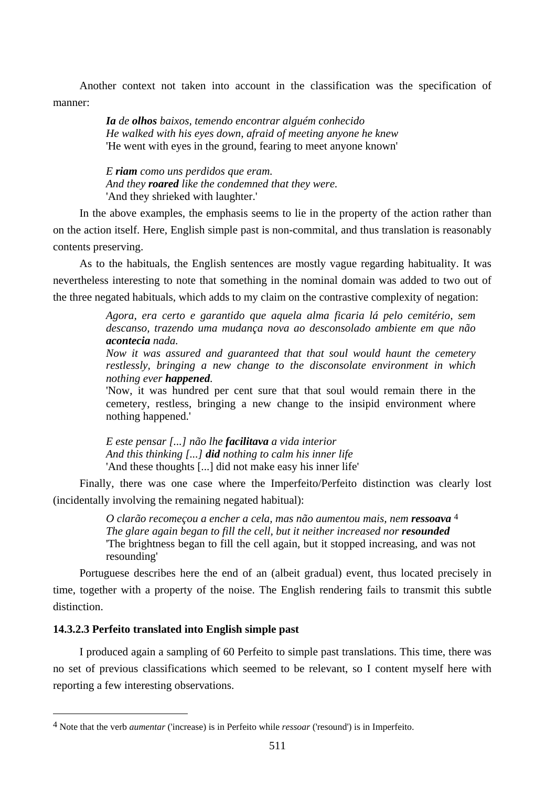Another context not taken into account in the classification was the specification of manner:

> *Ia de olhos baixos, temendo encontrar alguém conhecido He walked with his eyes down, afraid of meeting anyone he knew*  'He went with eyes in the ground, fearing to meet anyone known'

*E riam como uns perdidos que eram. And they roared like the condemned that they were.*  'And they shrieked with laughter.'

In the above examples, the emphasis seems to lie in the property of the action rather than on the action itself. Here, English simple past is non-commital, and thus translation is reasonably contents preserving.

As to the habituals, the English sentences are mostly vague regarding habituality. It was nevertheless interesting to note that something in the nominal domain was added to two out of the three negated habituals, which adds to my claim on the contrastive complexity of negation:

> *Agora, era certo e garantido que aquela alma ficaria lá pelo cemitério, sem descanso, trazendo uma mudança nova ao desconsolado ambiente em que não acontecia nada.*

> *Now it was assured and guaranteed that that soul would haunt the cemetery restlessly, bringing a new change to the disconsolate environment in which nothing ever happened.*

> 'Now, it was hundred per cent sure that that soul would remain there in the cemetery, restless, bringing a new change to the insipid environment where nothing happened.'

*E este pensar [...] não lhe facilitava a vida interior And this thinking [...] did nothing to calm his inner life*  'And these thoughts [...] did not make easy his inner life'

Finally, there was one case where the Imperfeito/Perfeito distinction was clearly lost (incidentally involving the remaining negated habitual):

> *O clarão recomeçou a encher a cela, mas não aumentou mais, nem ressoava* 4 *The glare again began to fill the cell, but it neither increased nor <i>resounded* 'The brightness began to fill the cell again, but it stopped increasing, and was not resounding'

Portuguese describes here the end of an (albeit gradual) event, thus located precisely in time, together with a property of the noise. The English rendering fails to transmit this subtle distinction.

## **14.3.2.3 Perfeito translated into English simple past**

 $\overline{a}$ 

I produced again a sampling of 60 Perfeito to simple past translations. This time, there was no set of previous classifications which seemed to be relevant, so I content myself here with reporting a few interesting observations.

<sup>4</sup> Note that the verb *aumentar* ('increase) is in Perfeito while *ressoar* ('resound') is in Imperfeito.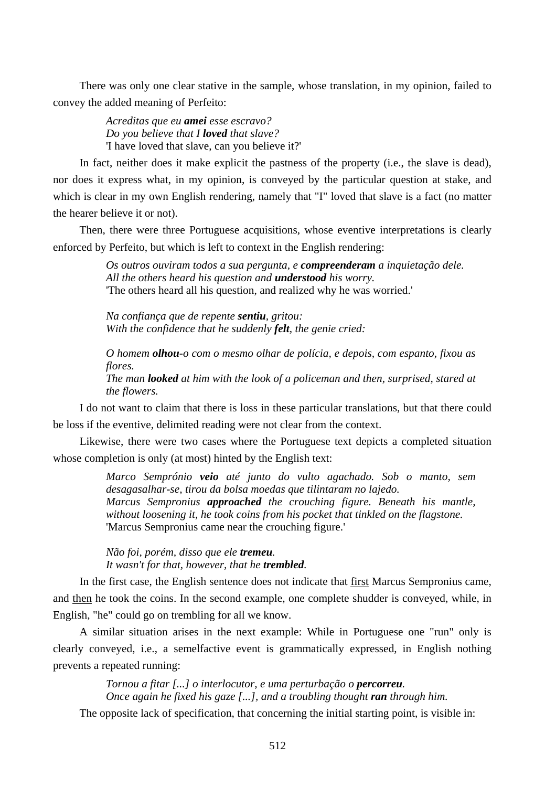There was only one clear stative in the sample, whose translation, in my opinion, failed to convey the added meaning of Perfeito:

> *Acreditas que eu amei esse escravo? Do you believe that I loved that slave?*  'I have loved that slave, can you believe it?'

In fact, neither does it make explicit the pastness of the property (i.e., the slave is dead), nor does it express what, in my opinion, is conveyed by the particular question at stake, and which is clear in my own English rendering, namely that "I" loved that slave is a fact (no matter the hearer believe it or not).

Then, there were three Portuguese acquisitions, whose eventive interpretations is clearly enforced by Perfeito, but which is left to context in the English rendering:

> *Os outros ouviram todos a sua pergunta, e compreenderam a inquietação dele. All the others heard his question and understood his worry.*  'The others heard all his question, and realized why he was worried.'

*Na confiança que de repente sentiu, gritou: With the confidence that he suddenly felt, the genie cried:* 

*O homem olhou-o com o mesmo olhar de polícia, e depois, com espanto, fixou as flores.* 

*The man looked at him with the look of a policeman and then, surprised, stared at the flowers.* 

I do not want to claim that there is loss in these particular translations, but that there could be loss if the eventive, delimited reading were not clear from the context.

Likewise, there were two cases where the Portuguese text depicts a completed situation whose completion is only (at most) hinted by the English text:

> *Marco Semprónio veio até junto do vulto agachado. Sob o manto, sem desagasalhar-se, tirou da bolsa moedas que tilintaram no lajedo. Marcus Sempronius approached the crouching figure. Beneath his mantle, without loosening it, he took coins from his pocket that tinkled on the flagstone.*  'Marcus Sempronius came near the crouching figure.'

*Não foi, porém, disso que ele tremeu. It wasn't for that, however, that he trembled.* 

In the first case, the English sentence does not indicate that first Marcus Sempronius came, and then he took the coins. In the second example, one complete shudder is conveyed, while, in English, "he" could go on trembling for all we know.

A similar situation arises in the next example: While in Portuguese one "run" only is clearly conveyed, i.e., a semelfactive event is grammatically expressed, in English nothing prevents a repeated running:

> *Tornou a fitar [...] o interlocutor, e uma perturbação o percorreu. Once again he fixed his gaze [...], and a troubling thought ran through him.*

The opposite lack of specification, that concerning the initial starting point, is visible in: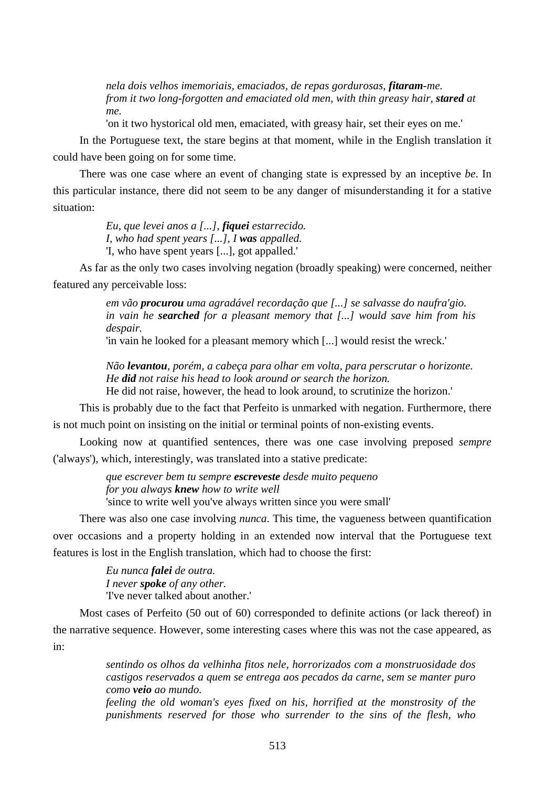*nela dois velhos imemoriais, emaciados, de repas gordurosas, fitaram-me. from it two long-forgotten and emaciated old men, with thin greasy hair, stared at me.* 

'on it two hystorical old men, emaciated, with greasy hair, set their eyes on me.'

In the Portuguese text, the stare begins at that moment, while in the English translation it could have been going on for some time.

There was one case where an event of changing state is expressed by an inceptive *be*. In this particular instance, there did not seem to be any danger of misunderstanding it for a stative situation:

> *Eu, que levei anos a [...], fiquei estarrecido. I, who had spent years [...], I was appalled.*  'I, who have spent years [...], got appalled.'

As far as the only two cases involving negation (broadly speaking) were concerned, neither featured any perceivable loss:

> *em vão procurou uma agradável recordação que [...] se salvasse do naufra'gio. in vain he searched for a pleasant memory that [...] would save him from his despair.*

'in vain he looked for a pleasant memory which [...] would resist the wreck.'

*Não levantou, porém, a cabeça para olhar em volta, para perscrutar o horizonte. He did not raise his head to look around or search the horizon.*  He did not raise, however, the head to look around, to scrutinize the horizon.'

This is probably due to the fact that Perfeito is unmarked with negation. Furthermore, there

is not much point on insisting on the initial or terminal points of non-existing events.

Looking now at quantified sentences, there was one case involving preposed *sempre* ('always'), which, interestingly, was translated into a stative predicate:

> *que escrever bem tu sempre escreveste desde muito pequeno for you always knew how to write well*  'since to write well you've always written since you were small'

There was also one case involving *nunca*. This time, the vagueness between quantification over occasions and a property holding in an extended now interval that the Portuguese text features is lost in the English translation, which had to choose the first:

> *Eu nunca falei de outra. I never spoke of any other.*  'I've never talked about another.'

Most cases of Perfeito (50 out of 60) corresponded to definite actions (or lack thereof) in the narrative sequence. However, some interesting cases where this was not the case appeared, as in:

> *sentindo os olhos da velhinha fitos nele, horrorizados com a monstruosidade dos castigos reservados a quem se entrega aos pecados da carne, sem se manter puro como veio ao mundo.*

> *feeling the old woman's eyes fixed on his, horrified at the monstrosity of the punishments reserved for those who surrender to the sins of the flesh, who*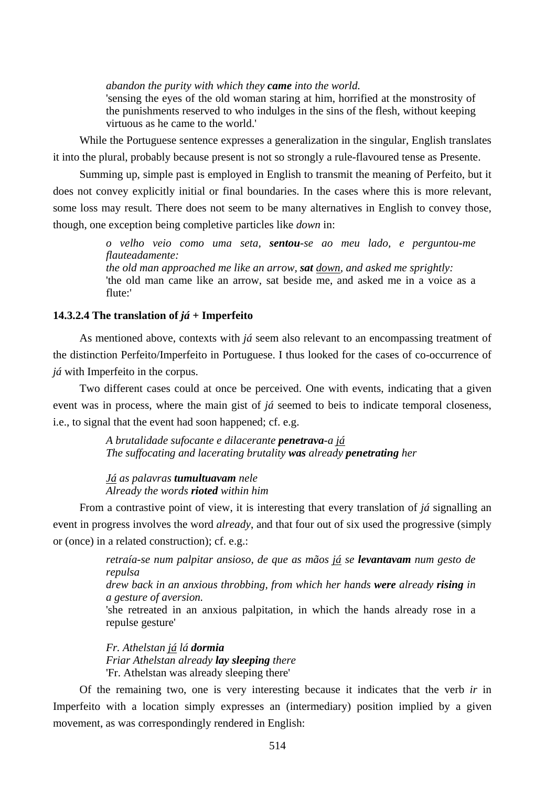*abandon the purity with which they came into the world.* 

'sensing the eyes of the old woman staring at him, horrified at the monstrosity of the punishments reserved to who indulges in the sins of the flesh, without keeping virtuous as he came to the world.'

While the Portuguese sentence expresses a generalization in the singular, English translates it into the plural, probably because present is not so strongly a rule-flavoured tense as Presente.

Summing up, simple past is employed in English to transmit the meaning of Perfeito, but it does not convey explicitly initial or final boundaries. In the cases where this is more relevant, some loss may result. There does not seem to be many alternatives in English to convey those, though, one exception being completive particles like *down* in:

> *o velho veio como uma seta, sentou-se ao meu lado, e perguntou-me flauteadamente: the old man approached me like an arrow, sat down, and asked me sprightly:*  'the old man came like an arrow, sat beside me, and asked me in a voice as a flute:'

## **14.3.2.4 The translation of** *já* **+ Imperfeito**

As mentioned above, contexts with *já* seem also relevant to an encompassing treatment of the distinction Perfeito/Imperfeito in Portuguese. I thus looked for the cases of co-occurrence of *já* with Imperfeito in the corpus.

Two different cases could at once be perceived. One with events, indicating that a given event was in process, where the main gist of *já* seemed to beis to indicate temporal closeness, i.e., to signal that the event had soon happened; cf. e.g.

> *A brutalidade sufocante e dilacerante penetrava-a já The suffocating and lacerating brutality was already penetrating her*

*Já as palavras tumultuavam nele Already the words rioted within him* 

From a contrastive point of view, it is interesting that every translation of *já* signalling an event in progress involves the word *already*, and that four out of six used the progressive (simply or (once) in a related construction); cf. e.g.:

> *retraía-se num palpitar ansioso, de que as mãos já se levantavam num gesto de repulsa drew back in an anxious throbbing, from which her hands were already rising in a gesture of aversion.*  'she retreated in an anxious palpitation, in which the hands already rose in a repulse gesture'

*Fr. Athelstan já lá dormia Friar Athelstan already lay sleeping there*  'Fr. Athelstan was already sleeping there'

Of the remaining two, one is very interesting because it indicates that the verb *ir* in Imperfeito with a location simply expresses an (intermediary) position implied by a given movement, as was correspondingly rendered in English: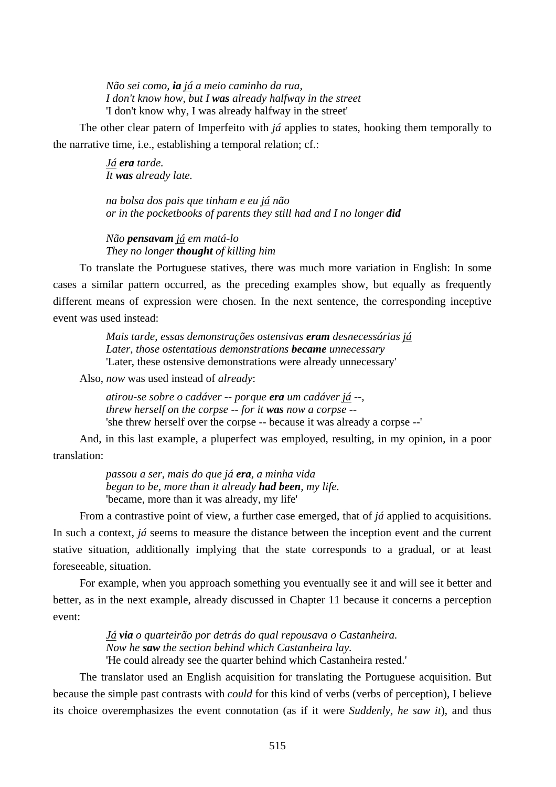*Não sei como, ia já a meio caminho da rua, I don't know how, but I was already halfway in the street*  'I don't know why, I was already halfway in the street'

The other clear patern of Imperfeito with *já* applies to states, hooking them temporally to the narrative time, i.e., establishing a temporal relation; cf.:

> *Já era tarde. It was already late.*

*na bolsa dos pais que tinham e eu já não or in the pocketbooks of parents they still had and I no longer did*

*Não pensavam já em matá-lo They no longer thought of killing him* 

To translate the Portuguese statives, there was much more variation in English: In some cases a similar pattern occurred, as the preceding examples show, but equally as frequently different means of expression were chosen. In the next sentence, the corresponding inceptive event was used instead:

> *Mais tarde, essas demonstrações ostensivas eram desnecessárias já Later, those ostentatious demonstrations became unnecessary*  'Later, these ostensive demonstrations were already unnecessary'

Also, *now* was used instead of *already*:

*atirou-se sobre o cadáver -- porque era um cadáver já --, threw herself on the corpse -- for it was now a corpse --*  'she threw herself over the corpse -- because it was already a corpse --'

And, in this last example, a pluperfect was employed, resulting, in my opinion, in a poor translation:

> *passou a ser, mais do que já era, a minha vida began to be, more than it already had been, my life.*  'became, more than it was already, my life'

From a contrastive point of view, a further case emerged, that of *já* applied to acquisitions. In such a context, *já* seems to measure the distance between the inception event and the current stative situation, additionally implying that the state corresponds to a gradual, or at least foreseeable, situation.

For example, when you approach something you eventually see it and will see it better and better, as in the next example, already discussed in Chapter 11 because it concerns a perception event:

> *Já via o quarteirão por detrás do qual repousava o Castanheira. Now he saw the section behind which Castanheira lay.*  'He could already see the quarter behind which Castanheira rested.'

The translator used an English acquisition for translating the Portuguese acquisition. But because the simple past contrasts with *could* for this kind of verbs (verbs of perception), I believe its choice overemphasizes the event connotation (as if it were *Suddenly, he saw it*), and thus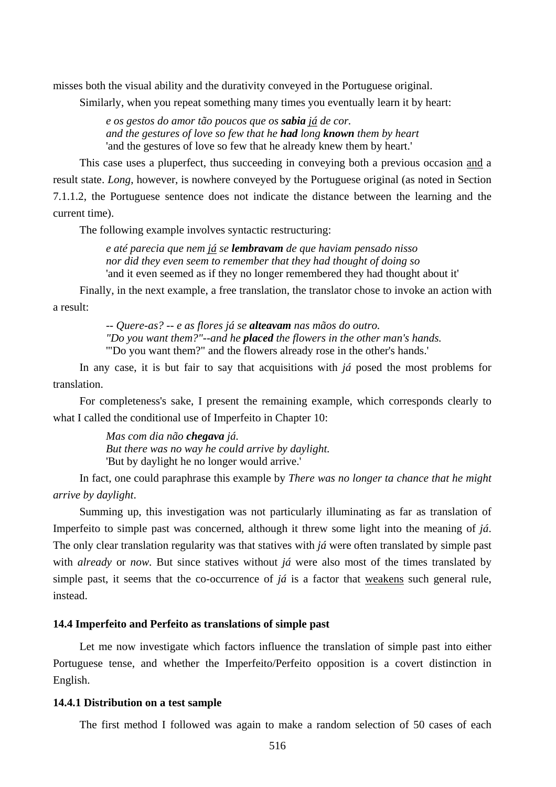misses both the visual ability and the durativity conveyed in the Portuguese original.

Similarly, when you repeat something many times you eventually learn it by heart:

*e os gestos do amor tão poucos que os sabia já de cor. and the gestures of love so few that he had long known them by heart*  'and the gestures of love so few that he already knew them by heart.'

This case uses a pluperfect, thus succeeding in conveying both a previous occasion and a result state. *Long*, however, is nowhere conveyed by the Portuguese original (as noted in Section 7.1.1.2, the Portuguese sentence does not indicate the distance between the learning and the current time).

The following example involves syntactic restructuring:

*e até parecia que nem já se lembravam de que haviam pensado nisso nor did they even seem to remember that they had thought of doing so*  'and it even seemed as if they no longer remembered they had thought about it'

Finally, in the next example, a free translation, the translator chose to invoke an action with a result:

> *-- Quere-as? -- e as flores já se alteavam nas mãos do outro. "Do you want them?"--and he placed the flowers in the other man's hands.*  '"Do you want them?" and the flowers already rose in the other's hands.'

In any case, it is but fair to say that acquisitions with *já* posed the most problems for translation.

For completeness's sake, I present the remaining example, which corresponds clearly to what I called the conditional use of Imperfeito in Chapter 10:

> *Mas com dia não chegava já. But there was no way he could arrive by daylight.*  'But by daylight he no longer would arrive.'

In fact, one could paraphrase this example by *There was no longer ta chance that he might arrive by daylight*.

Summing up, this investigation was not particularly illuminating as far as translation of Imperfeito to simple past was concerned, although it threw some light into the meaning of *já*. The only clear translation regularity was that statives with *já* were often translated by simple past with *already* or *now*. But since statives without *já* were also most of the times translated by simple past, it seems that the co-occurrence of *já* is a factor that weakens such general rule, instead.

#### **14.4 Imperfeito and Perfeito as translations of simple past**

Let me now investigate which factors influence the translation of simple past into either Portuguese tense, and whether the Imperfeito/Perfeito opposition is a covert distinction in English.

## **14.4.1 Distribution on a test sample**

The first method I followed was again to make a random selection of 50 cases of each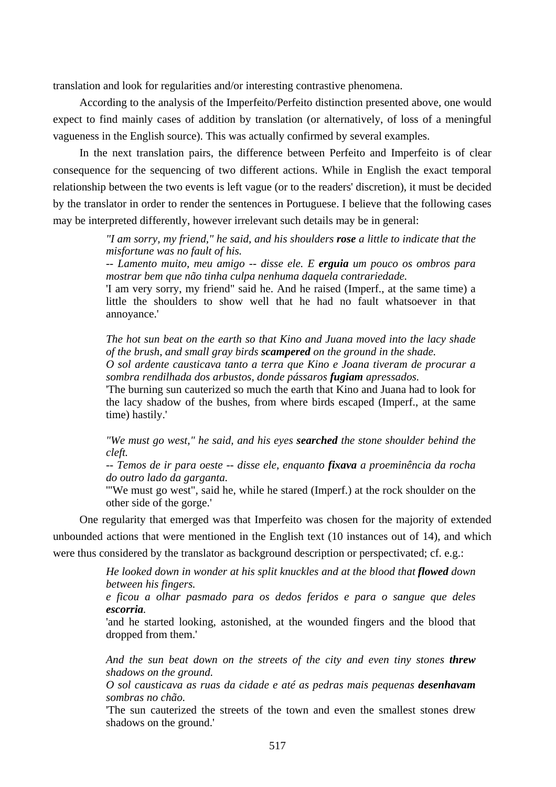translation and look for regularities and/or interesting contrastive phenomena.

According to the analysis of the Imperfeito/Perfeito distinction presented above, one would expect to find mainly cases of addition by translation (or alternatively, of loss of a meningful vagueness in the English source). This was actually confirmed by several examples.

In the next translation pairs, the difference between Perfeito and Imperfeito is of clear consequence for the sequencing of two different actions. While in English the exact temporal relationship between the two events is left vague (or to the readers' discretion), it must be decided by the translator in order to render the sentences in Portuguese. I believe that the following cases may be interpreted differently, however irrelevant such details may be in general:

> *"I am sorry, my friend," he said, and his shoulders rose a little to indicate that the misfortune was no fault of his.*

> *-- Lamento muito, meu amigo -- disse ele. E erguia um pouco os ombros para mostrar bem que não tinha culpa nenhuma daquela contrariedade.*

> 'I am very sorry, my friend" said he. And he raised (Imperf., at the same time) a little the shoulders to show well that he had no fault whatsoever in that annoyance.'

> *The hot sun beat on the earth so that Kino and Juana moved into the lacy shade of the brush, and small gray birds scampered on the ground in the shade. O sol ardente causticava tanto a terra que Kino e Joana tiveram de procurar a*

> *sombra rendilhada dos arbustos, donde pássaros fugiam apressados.*  'The burning sun cauterized so much the earth that Kino and Juana had to look for the lacy shadow of the bushes, from where birds escaped (Imperf., at the same time) hastily.'

> *"We must go west," he said, and his eyes searched the stone shoulder behind the cleft.*

> *-- Temos de ir para oeste -- disse ele, enquanto fixava a proeminência da rocha do outro lado da garganta.*

> '"We must go west", said he, while he stared (Imperf.) at the rock shoulder on the other side of the gorge.'

One regularity that emerged was that Imperfeito was chosen for the majority of extended unbounded actions that were mentioned in the English text (10 instances out of 14), and which were thus considered by the translator as background description or perspectivated; cf. e.g.:

> *He looked down in wonder at his split knuckles and at the blood that flowed down between his fingers.*

> *e ficou a olhar pasmado para os dedos feridos e para o sangue que deles escorria.*

> 'and he started looking, astonished, at the wounded fingers and the blood that dropped from them.'

> *And the sun beat down on the streets of the city and even tiny stones threw shadows on the ground.*

> *O sol causticava as ruas da cidade e até as pedras mais pequenas desenhavam sombras no chão.*

> 'The sun cauterized the streets of the town and even the smallest stones drew shadows on the ground.'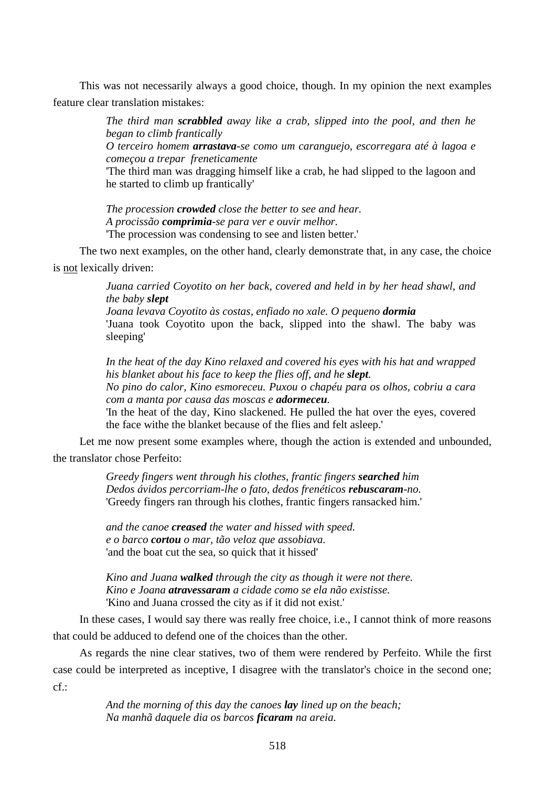This was not necessarily always a good choice, though. In my opinion the next examples feature clear translation mistakes:

> *The third man scrabbled away like a crab, slipped into the pool, and then he began to climb frantically*

> *O terceiro homem arrastava-se como um caranguejo, escorregara até à lagoa e começou a trepar freneticamente*

> 'The third man was dragging himself like a crab, he had slipped to the lagoon and he started to climb up frantically'

*The procession crowded close the better to see and hear. A procissão comprimia-se para ver e ouvir melhor.*  'The procession was condensing to see and listen better.'

The two next examples, on the other hand, clearly demonstrate that, in any case, the choice is not lexically driven:

> *Juana carried Coyotito on her back, covered and held in by her head shawl, and the baby slept*

> *Joana levava Coyotito às costas, enfiado no xale. O pequeno dormia* 'Juana took Coyotito upon the back, slipped into the shawl. The baby was sleeping'

> *In the heat of the day Kino relaxed and covered his eyes with his hat and wrapped his blanket about his face to keep the flies off, and he slept.*

> *No pino do calor, Kino esmoreceu. Puxou o chapéu para os olhos, cobriu a cara com a manta por causa das moscas e adormeceu.*

> 'In the heat of the day, Kino slackened. He pulled the hat over the eyes, covered the face withe the blanket because of the flies and felt asleep.'

Let me now present some examples where, though the action is extended and unbounded, the translator chose Perfeito:

> *Greedy fingers went through his clothes, frantic fingers searched him Dedos ávidos percorriam-lhe o fato, dedos frenéticos rebuscaram-no.*  'Greedy fingers ran through his clothes, frantic fingers ransacked him.'

*and the canoe creased the water and hissed with speed. e o barco cortou o mar, tão veloz que assobiava.*  'and the boat cut the sea, so quick that it hissed'

*Kino and Juana walked through the city as though it were not there. Kino e Joana atravessaram a cidade como se ela não existisse.*  'Kino and Juana crossed the city as if it did not exist.'

In these cases, I would say there was really free choice, i.e., I cannot think of more reasons that could be adduced to defend one of the choices than the other.

As regards the nine clear statives, two of them were rendered by Perfeito. While the first case could be interpreted as inceptive, I disagree with the translator's choice in the second one;  $cf.$ 

> *And the morning of this day the canoes lay lined up on the beach; Na manhã daquele dia os barcos ficaram na areia.*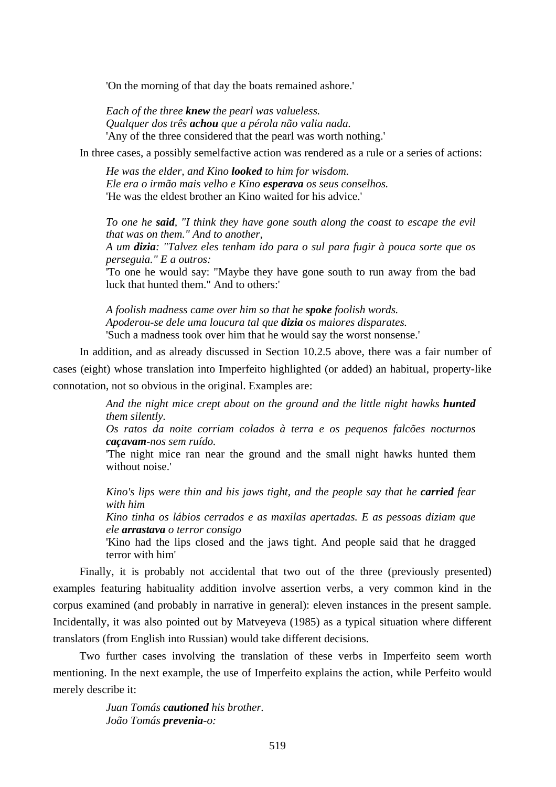'On the morning of that day the boats remained ashore.'

*Each of the three knew the pearl was valueless. Qualquer dos três achou que a pérola não valia nada.*  'Any of the three considered that the pearl was worth nothing.'

In three cases, a possibly semelfactive action was rendered as a rule or a series of actions:

*He was the elder, and Kino looked to him for wisdom. Ele era o irmão mais velho e Kino esperava os seus conselhos.*  'He was the eldest brother an Kino waited for his advice.'

*To one he said, "I think they have gone south along the coast to escape the evil that was on them." And to another,* 

*A um dizia: "Talvez eles tenham ido para o sul para fugir à pouca sorte que os perseguia." E a outros:* 

'To one he would say: "Maybe they have gone south to run away from the bad luck that hunted them." And to others:'

*A foolish madness came over him so that he spoke foolish words. Apoderou-se dele uma loucura tal que dizia os maiores disparates.*  'Such a madness took over him that he would say the worst nonsense.'

In addition, and as already discussed in Section 10.2.5 above, there was a fair number of cases (eight) whose translation into Imperfeito highlighted (or added) an habitual, property-like connotation, not so obvious in the original. Examples are:

> *And the night mice crept about on the ground and the little night hawks hunted them silently.*

> *Os ratos da noite corriam colados à terra e os pequenos falcões nocturnos caçavam-nos sem ruído.*

> 'The night mice ran near the ground and the small night hawks hunted them without noise.'

> *Kino's lips were thin and his jaws tight, and the people say that he carried fear with him*

> *Kino tinha os lábios cerrados e as maxilas apertadas. E as pessoas diziam que ele arrastava o terror consigo*

> 'Kino had the lips closed and the jaws tight. And people said that he dragged terror with him'

Finally, it is probably not accidental that two out of the three (previously presented) examples featuring habituality addition involve assertion verbs, a very common kind in the corpus examined (and probably in narrative in general): eleven instances in the present sample. Incidentally, it was also pointed out by Matveyeva (1985) as a typical situation where different translators (from English into Russian) would take different decisions.

Two further cases involving the translation of these verbs in Imperfeito seem worth mentioning. In the next example, the use of Imperfeito explains the action, while Perfeito would merely describe it:

> *Juan Tomás cautioned his brother. João Tomás prevenia-o:*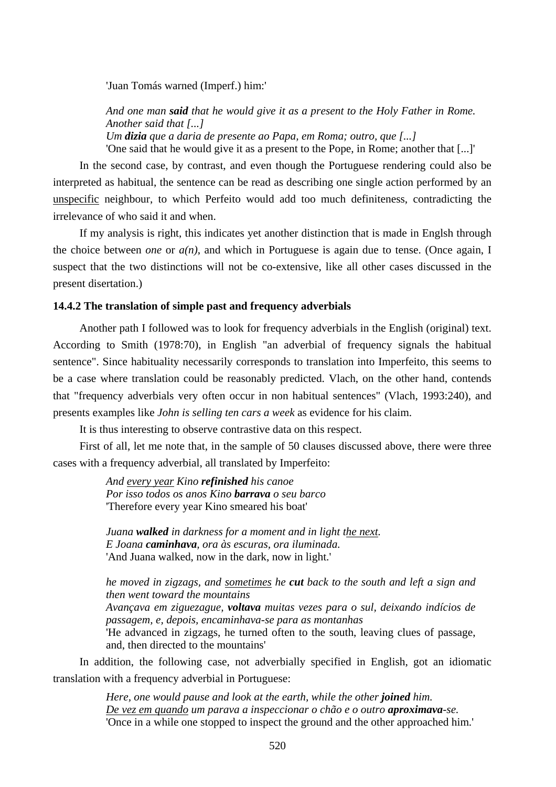'Juan Tomás warned (Imperf.) him:'

*And one man said that he would give it as a present to the Holy Father in Rome. Another said that [...] Um dizia que a daria de presente ao Papa, em Roma; outro, que [...]*  'One said that he would give it as a present to the Pope, in Rome; another that [...]'

In the second case, by contrast, and even though the Portuguese rendering could also be interpreted as habitual, the sentence can be read as describing one single action performed by an unspecific neighbour, to which Perfeito would add too much definiteness, contradicting the irrelevance of who said it and when.

If my analysis is right, this indicates yet another distinction that is made in Englsh through the choice between *one* or *a(n)*, and which in Portuguese is again due to tense. (Once again, I suspect that the two distinctions will not be co-extensive, like all other cases discussed in the present disertation.)

## **14.4.2 The translation of simple past and frequency adverbials**

Another path I followed was to look for frequency adverbials in the English (original) text. According to Smith (1978:70), in English "an adverbial of frequency signals the habitual sentence". Since habituality necessarily corresponds to translation into Imperfeito, this seems to be a case where translation could be reasonably predicted. Vlach, on the other hand, contends that "frequency adverbials very often occur in non habitual sentences" (Vlach, 1993:240), and presents examples like *John is selling ten cars a week* as evidence for his claim.

It is thus interesting to observe contrastive data on this respect.

First of all, let me note that, in the sample of 50 clauses discussed above, there were three cases with a frequency adverbial, all translated by Imperfeito:

> *And every year Kino refinished his canoe Por isso todos os anos Kino barrava o seu barco*  'Therefore every year Kino smeared his boat'

*Juana walked in darkness for a moment and in light the next. E Joana caminhava, ora às escuras, ora iluminada.*  'And Juana walked, now in the dark, now in light.'

*he moved in zigzags, and sometimes he cut back to the south and left a sign and then went toward the mountains Avançava em ziguezague, voltava muitas vezes para o sul, deixando indícios de passagem, e, depois, encaminhava-se para as montanhas*  'He advanced in zigzags, he turned often to the south, leaving clues of passage, and, then directed to the mountains'

In addition, the following case, not adverbially specified in English, got an idiomatic translation with a frequency adverbial in Portuguese:

> *Here, one would pause and look at the earth, while the other joined him. De vez em quando um parava a inspeccionar o chão e o outro aproximava-se.*  'Once in a while one stopped to inspect the ground and the other approached him.'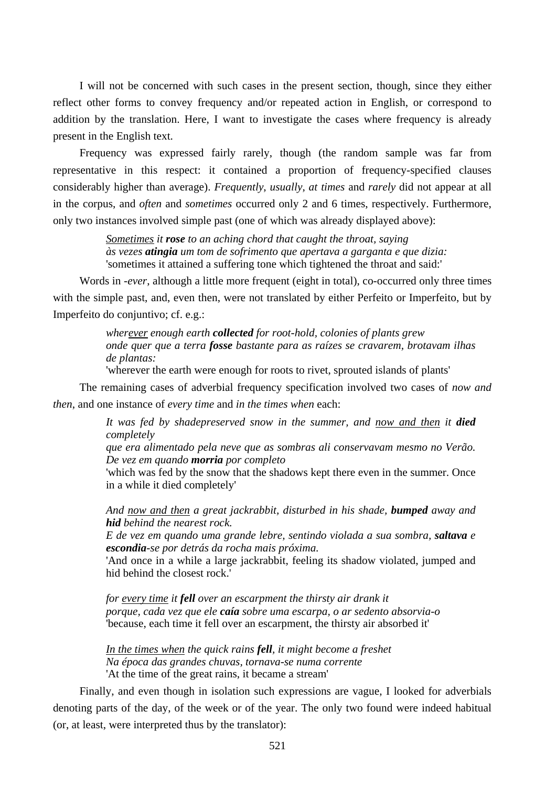I will not be concerned with such cases in the present section, though, since they either reflect other forms to convey frequency and/or repeated action in English, or correspond to addition by the translation. Here, I want to investigate the cases where frequency is already present in the English text.

Frequency was expressed fairly rarely, though (the random sample was far from representative in this respect: it contained a proportion of frequency-specified clauses considerably higher than average). *Frequently*, *usually*, *at times* and *rarely* did not appear at all in the corpus, and *often* and *sometimes* occurred only 2 and 6 times, respectively. Furthermore, only two instances involved simple past (one of which was already displayed above):

> *Sometimes it rose to an aching chord that caught the throat, saying às vezes atingia um tom de sofrimento que apertava a garganta e que dizia:*  'sometimes it attained a suffering tone which tightened the throat and said:'

Words in *-ever*, although a little more frequent (eight in total), co-occurred only three times with the simple past, and, even then, were not translated by either Perfeito or Imperfeito, but by Imperfeito do conjuntivo; cf. e.g.:

> *wherever enough earth collected for root-hold, colonies of plants grew onde quer que a terra fosse bastante para as raízes se cravarem, brotavam ilhas de plantas:*

'wherever the earth were enough for roots to rivet, sprouted islands of plants'

The remaining cases of adverbial frequency specification involved two cases of *now and then*, and one instance of *every time* and *in the times when* each:

> *It was fed by shadepreserved snow in the summer, and now and then it died completely*

> *que era alimentado pela neve que as sombras ali conservavam mesmo no Verão. De vez em quando morria por completo*

> 'which was fed by the snow that the shadows kept there even in the summer. Once in a while it died completely'

> *And now and then a great jackrabbit, disturbed in his shade, bumped away and hid behind the nearest rock.*

> *E de vez em quando uma grande lebre, sentindo violada a sua sombra, saltava e escondia-se por detrás da rocha mais próxima.*

> 'And once in a while a large jackrabbit, feeling its shadow violated, jumped and hid behind the closest rock.'

*for every time it fell over an escarpment the thirsty air drank it porque, cada vez que ele caía sobre uma escarpa, o ar sedento absorvia-o*  'because, each time it fell over an escarpment, the thirsty air absorbed it'

*In the times when the quick rains fell, it might become a freshet Na época das grandes chuvas, tornava-se numa corrente*  'At the time of the great rains, it became a stream'

Finally, and even though in isolation such expressions are vague, I looked for adverbials denoting parts of the day, of the week or of the year. The only two found were indeed habitual (or, at least, were interpreted thus by the translator):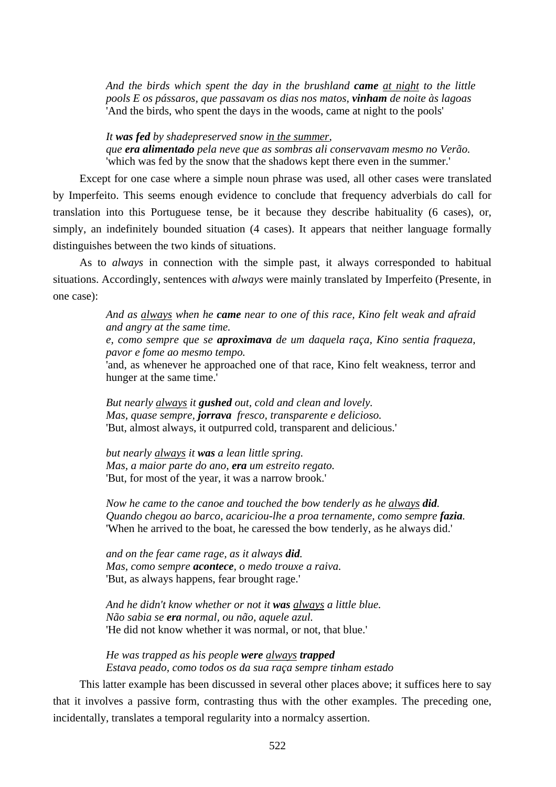*And the birds which spent the day in the brushland came at night to the little pools E os pássaros, que passavam os dias nos matos, vinham de noite às lagoas*  'And the birds, who spent the days in the woods, came at night to the pools'

*It was fed by shadepreserved snow in the summer, que era alimentado pela neve que as sombras ali conservavam mesmo no Verão.*  'which was fed by the snow that the shadows kept there even in the summer.'

Except for one case where a simple noun phrase was used, all other cases were translated by Imperfeito. This seems enough evidence to conclude that frequency adverbials do call for translation into this Portuguese tense, be it because they describe habituality (6 cases), or, simply, an indefinitely bounded situation (4 cases). It appears that neither language formally distinguishes between the two kinds of situations.

As to *always* in connection with the simple past, it always corresponded to habitual situations. Accordingly, sentences with *always* were mainly translated by Imperfeito (Presente, in one case):

> *And as always when he came near to one of this race, Kino felt weak and afraid and angry at the same time. e, como sempre que se aproximava de um daquela raça, Kino sentia fraqueza, pavor e fome ao mesmo tempo.*

> 'and, as whenever he approached one of that race, Kino felt weakness, terror and hunger at the same time.'

*But nearly always it gushed out, cold and clean and lovely. Mas, quase sempre, jorrava fresco, transparente e delicioso.*  'But, almost always, it outpurred cold, transparent and delicious.'

*but nearly always it was a lean little spring. Mas, a maior parte do ano, era um estreito regato.*  'But, for most of the year, it was a narrow brook.'

*Now he came to the canoe and touched the bow tenderly as he always did. Quando chegou ao barco, acariciou-lhe a proa ternamente, como sempre fazia.*  'When he arrived to the boat, he caressed the bow tenderly, as he always did.'

*and on the fear came rage, as it always did. Mas, como sempre acontece, o medo trouxe a raiva.*  'But, as always happens, fear brought rage.'

*And he didn't know whether or not it was always a little blue. Não sabia se era normal, ou não, aquele azul.*  'He did not know whether it was normal, or not, that blue.'

*He was trapped as his people were always trapped Estava peado, como todos os da sua raça sempre tinham estado* 

This latter example has been discussed in several other places above; it suffices here to say that it involves a passive form, contrasting thus with the other examples. The preceding one, incidentally, translates a temporal regularity into a normalcy assertion.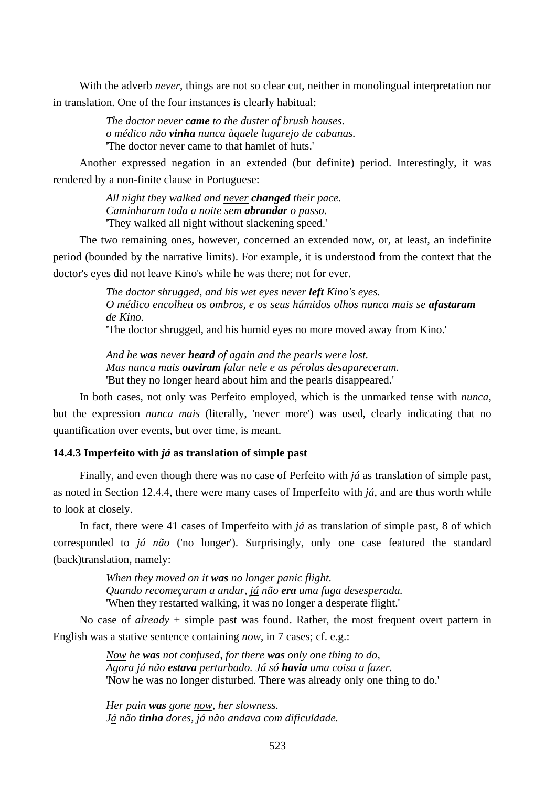With the adverb *never*, things are not so clear cut, neither in monolingual interpretation nor in translation. One of the four instances is clearly habitual:

> *The doctor never came to the duster of brush houses. o médico não vinha nunca àquele lugarejo de cabanas.*  'The doctor never came to that hamlet of huts.'

Another expressed negation in an extended (but definite) period. Interestingly, it was rendered by a non-finite clause in Portuguese:

> *All night they walked and never changed their pace. Caminharam toda a noite sem abrandar o passo.*  'They walked all night without slackening speed.'

The two remaining ones, however, concerned an extended now, or, at least, an indefinite period (bounded by the narrative limits). For example, it is understood from the context that the doctor's eyes did not leave Kino's while he was there; not for ever.

> *The doctor shrugged, and his wet eyes never left Kino's eyes. O médico encolheu os ombros, e os seus húmidos olhos nunca mais se afastaram de Kino.*  'The doctor shrugged, and his humid eyes no more moved away from Kino.'

*And he was never heard of again and the pearls were lost. Mas nunca mais ouviram falar nele e as pérolas desapareceram.*  'But they no longer heard about him and the pearls disappeared.'

In both cases, not only was Perfeito employed, which is the unmarked tense with *nunca*, but the expression *nunca mais* (literally, 'never more') was used, clearly indicating that no quantification over events, but over time, is meant.

## **14.4.3 Imperfeito with** *já* **as translation of simple past**

Finally, and even though there was no case of Perfeito with *já* as translation of simple past, as noted in Section 12.4.4, there were many cases of Imperfeito with *já*, and are thus worth while to look at closely.

In fact, there were 41 cases of Imperfeito with *já* as translation of simple past, 8 of which corresponded to *já não* ('no longer'). Surprisingly, only one case featured the standard (back)translation, namely:

> *When they moved on it was no longer panic flight. Quando recomeçaram a andar, já não era uma fuga desesperada.*  'When they restarted walking, it was no longer a desperate flight.'

No case of *already* + simple past was found. Rather, the most frequent overt pattern in English was a stative sentence containing *now*, in 7 cases; cf. e.g.:

> *Now he was not confused, for there was only one thing to do, Agora já não estava perturbado. Já só havia uma coisa a fazer.*  'Now he was no longer disturbed. There was already only one thing to do.'

*Her pain was gone now, her slowness. Já não tinha dores, já não andava com dificuldade.*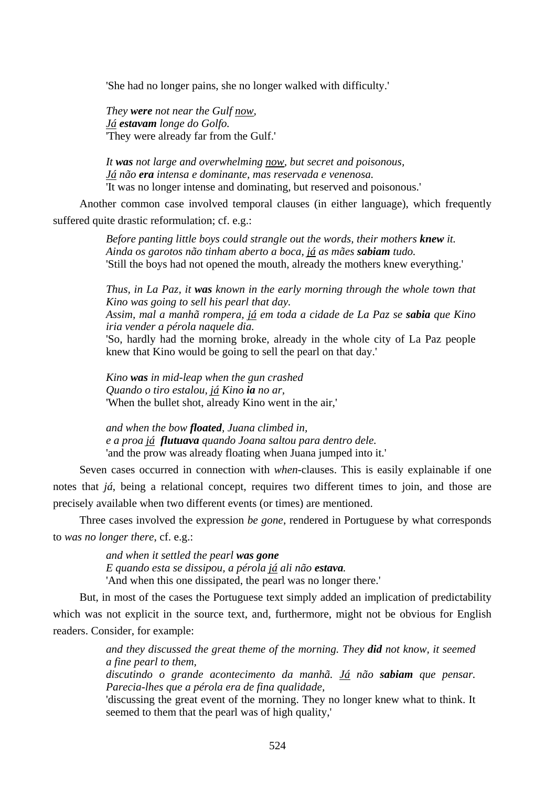'She had no longer pains, she no longer walked with difficulty.'

*They were not near the Gulf now, Já estavam longe do Golfo.*  'They were already far from the Gulf.'

*It was not large and overwhelming now, but secret and poisonous, Já não era intensa e dominante, mas reservada e venenosa.*  'It was no longer intense and dominating, but reserved and poisonous.'

Another common case involved temporal clauses (in either language), which frequently suffered quite drastic reformulation; cf. e.g.:

> *Before panting little boys could strangle out the words, their mothers knew it. Ainda os garotos não tinham aberto a boca, já as mães sabiam tudo.*  'Still the boys had not opened the mouth, already the mothers knew everything.'

*Thus, in La Paz, it was known in the early morning through the whole town that Kino was going to sell his pearl that day.* 

*Assim, mal a manhã rompera, já em toda a cidade de La Paz se sabia que Kino iria vender a pérola naquele dia.* 

'So, hardly had the morning broke, already in the whole city of La Paz people knew that Kino would be going to sell the pearl on that day.'

*Kino was in mid-leap when the gun crashed Quando o tiro estalou, já Kino ia no ar,*  'When the bullet shot, already Kino went in the air,'

*and when the bow floated, Juana climbed in, e a proa já flutuava quando Joana saltou para dentro dele.*  'and the prow was already floating when Juana jumped into it.'

Seven cases occurred in connection with *when*-clauses. This is easily explainable if one notes that *já*, being a relational concept, requires two different times to join, and those are precisely available when two different events (or times) are mentioned.

Three cases involved the expression *be gone*, rendered in Portuguese by what corresponds to *was no longer there*, cf. e.g.:

> *and when it settled the pearl was gone E quando esta se dissipou, a pérola já ali não estava.*  'And when this one dissipated, the pearl was no longer there.'

But, in most of the cases the Portuguese text simply added an implication of predictability which was not explicit in the source text, and, furthermore, might not be obvious for English readers. Consider, for example:

> *and they discussed the great theme of the morning. They did not know, it seemed a fine pearl to them,*

> *discutindo o grande acontecimento da manhã. Já não sabiam que pensar. Parecia-lhes que a pérola era de fina qualidade,*

> 'discussing the great event of the morning. They no longer knew what to think. It seemed to them that the pearl was of high quality,'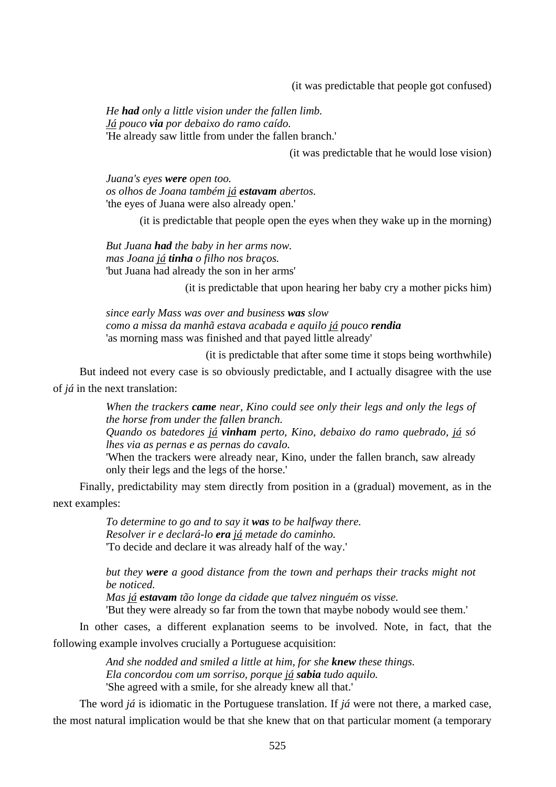(it was predictable that people got confused)

*He had only a little vision under the fallen limb. Já pouco via por debaixo do ramo caído.*  'He already saw little from under the fallen branch.'

(it was predictable that he would lose vision)

*Juana's eyes were open too. os olhos de Joana também já estavam abertos.*  'the eyes of Juana were also already open.'

(it is predictable that people open the eyes when they wake up in the morning)

*But Juana had the baby in her arms now. mas Joana já tinha o filho nos braços.*  'but Juana had already the son in her arms'

(it is predictable that upon hearing her baby cry a mother picks him)

*since early Mass was over and business was slow como a missa da manhã estava acabada e aquilo já pouco rendia* 'as morning mass was finished and that payed little already'

(it is predictable that after some time it stops being worthwhile)

But indeed not every case is so obviously predictable, and I actually disagree with the use of *já* in the next translation:

> *When the trackers came near, Kino could see only their legs and only the legs of the horse from under the fallen branch. Quando os batedores já vinham perto, Kino, debaixo do ramo quebrado, já só*

> *lhes via as pernas e as pernas do cavalo.*

'When the trackers were already near, Kino, under the fallen branch, saw already only their legs and the legs of the horse.'

Finally, predictability may stem directly from position in a (gradual) movement, as in the next examples:

> *To determine to go and to say it was to be halfway there. Resolver ir e declará-lo era já metade do caminho.*  'To decide and declare it was already half of the way.'

*but they were a good distance from the town and perhaps their tracks might not be noticed.* 

*Mas já estavam tão longe da cidade que talvez ninguém os visse.* 

'But they were already so far from the town that maybe nobody would see them.'

In other cases, a different explanation seems to be involved. Note, in fact, that the following example involves crucially a Portuguese acquisition:

> *And she nodded and smiled a little at him, for she knew these things. Ela concordou com um sorriso, porque já sabia tudo aquilo.*  'She agreed with a smile, for she already knew all that.'

The word *já* is idiomatic in the Portuguese translation. If *já* were not there, a marked case, the most natural implication would be that she knew that on that particular moment (a temporary